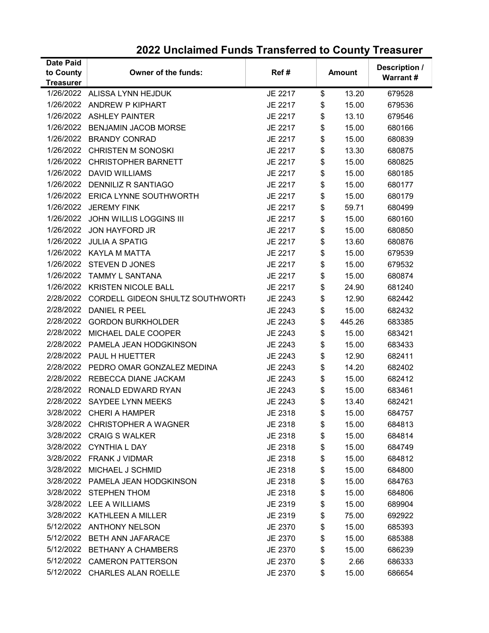| <b>Date Paid</b> |                                            |         |               |        | Description /   |  |
|------------------|--------------------------------------------|---------|---------------|--------|-----------------|--|
| to County        | <b>Owner of the funds:</b>                 | Ref#    | <b>Amount</b> |        | <b>Warrant#</b> |  |
| <b>Treasurer</b> |                                            |         |               |        |                 |  |
|                  | 1/26/2022 ALISSA LYNN HEJDUK               | JE 2217 | \$            | 13.20  | 679528          |  |
|                  | 1/26/2022 ANDREW P KIPHART                 | JE 2217 | \$            | 15.00  | 679536          |  |
|                  | 1/26/2022 ASHLEY PAINTER                   | JE 2217 | \$            | 13.10  | 679546          |  |
| 1/26/2022        | <b>BENJAMIN JACOB MORSE</b>                | JE 2217 | \$            | 15.00  | 680166          |  |
| 1/26/2022        | <b>BRANDY CONRAD</b>                       | JE 2217 | \$            | 15.00  | 680839          |  |
|                  | 1/26/2022 CHRISTEN M SONOSKI               | JE 2217 | \$            | 13.30  | 680875          |  |
| 1/26/2022        | <b>CHRISTOPHER BARNETT</b>                 | JE 2217 | \$            | 15.00  | 680825          |  |
| 1/26/2022        | <b>DAVID WILLIAMS</b>                      | JE 2217 | \$            | 15.00  | 680185          |  |
| 1/26/2022        | <b>DENNILIZ R SANTIAGO</b>                 | JE 2217 | \$            | 15.00  | 680177          |  |
| 1/26/2022        | ERICA LYNNE SOUTHWORTH                     | JE 2217 | \$            | 15.00  | 680179          |  |
| 1/26/2022        | <b>JEREMY FINK</b>                         | JE 2217 | \$            | 59.71  | 680499          |  |
|                  | 1/26/2022 JOHN WILLIS LOGGINS III          | JE 2217 | \$            | 15.00  | 680160          |  |
|                  | 1/26/2022 JON HAYFORD JR                   | JE 2217 | \$            | 15.00  | 680850          |  |
|                  | 1/26/2022 JULIA A SPATIG                   | JE 2217 | \$            | 13.60  | 680876          |  |
| 1/26/2022        | KAYLA M MATTA                              | JE 2217 | \$            | 15.00  | 679539          |  |
| 1/26/2022        | <b>STEVEN D JONES</b>                      | JE 2217 | \$            | 15.00  | 679532          |  |
| 1/26/2022        | TAMMY L SANTANA                            | JE 2217 | \$            | 15.00  | 680874          |  |
| 1/26/2022        | <b>KRISTEN NICOLE BALL</b>                 | JE 2217 | \$            | 24.90  | 681240          |  |
|                  | 2/28/2022 CORDELL GIDEON SHULTZ SOUTHWORTH | JE 2243 | \$            | 12.90  | 682442          |  |
| 2/28/2022        | DANIEL R PEEL                              | JE 2243 | \$            | 15.00  | 682432          |  |
| 2/28/2022        | <b>GORDON BURKHOLDER</b>                   | JE 2243 | \$            | 445.26 | 683385          |  |
|                  | 2/28/2022 MICHAEL DALE COOPER              | JE 2243 | \$            | 15.00  | 683421          |  |
| 2/28/2022        | PAMELA JEAN HODGKINSON                     | JE 2243 | \$            | 15.00  | 683433          |  |
|                  | 2/28/2022 PAUL H HUETTER                   | JE 2243 | \$            | 12.90  | 682411          |  |
| 2/28/2022        | PEDRO OMAR GONZALEZ MEDINA                 | JE 2243 | \$            | 14.20  | 682402          |  |
| 2/28/2022        | REBECCA DIANE JACKAM                       | JE 2243 | \$            | 15.00  | 682412          |  |
|                  | 2/28/2022 RONALD EDWARD RYAN               | JE 2243 | \$            | 15.00  | 683461          |  |
| 2/28/2022        | <b>SAYDEE LYNN MEEKS</b>                   | JE 2243 | \$            | 13.40  | 682421          |  |
|                  | 3/28/2022 CHERI A HAMPER                   | JE 2318 | \$            | 15.00  | 684757          |  |
|                  | 3/28/2022 CHRISTOPHER A WAGNER             | JE 2318 | \$            | 15.00  | 684813          |  |
| 3/28/2022        | <b>CRAIG S WALKER</b>                      | JE 2318 | \$            | 15.00  | 684814          |  |
|                  | 3/28/2022 CYNTHIA L DAY                    | JE 2318 | \$            | 15.00  | 684749          |  |
| 3/28/2022        | <b>FRANK J VIDMAR</b>                      | JE 2318 | \$            | 15.00  | 684812          |  |
| 3/28/2022        | MICHAEL J SCHMID                           | JE 2318 | \$            | 15.00  | 684800          |  |
|                  | 3/28/2022 PAMELA JEAN HODGKINSON           | JE 2318 | \$            | 15.00  | 684763          |  |
| 3/28/2022        | <b>STEPHEN THOM</b>                        | JE 2318 | \$            | 15.00  | 684806          |  |
|                  | 3/28/2022 LEE A WILLIAMS                   | JE 2319 | \$            | 15.00  | 689904          |  |
|                  | 3/28/2022 KATHLEEN A MILLER                | JE 2319 | \$            | 75.00  | 692922          |  |
| 5/12/2022        | <b>ANTHONY NELSON</b>                      | JE 2370 | \$            | 15.00  | 685393          |  |
|                  | 5/12/2022 BETH ANN JAFARACE                | JE 2370 | \$            | 15.00  | 685388          |  |
|                  | 5/12/2022 BETHANY A CHAMBERS               | JE 2370 | \$            | 15.00  | 686239          |  |
|                  | 5/12/2022 CAMERON PATTERSON                | JE 2370 | \$            | 2.66   | 686333          |  |
|                  | 5/12/2022 CHARLES ALAN ROELLE              | JE 2370 | \$            | 15.00  | 686654          |  |
|                  |                                            |         |               |        |                 |  |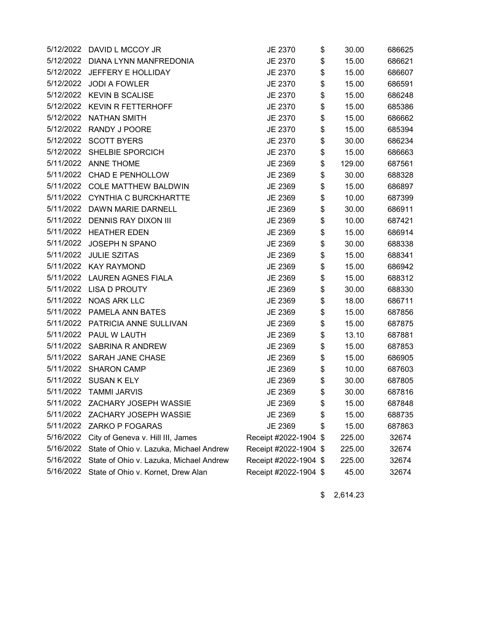|           | 5/12/2022 DAVID L MCCOY JR              | JE 2370               | \$<br>30.00  | 686625 |
|-----------|-----------------------------------------|-----------------------|--------------|--------|
| 5/12/2022 | DIANA LYNN MANFREDONIA                  | JE 2370               | \$<br>15.00  | 686621 |
| 5/12/2022 | JEFFERY E HOLLIDAY                      | JE 2370               | \$<br>15.00  | 686607 |
| 5/12/2022 | <b>JODI A FOWLER</b>                    | JE 2370               | \$<br>15.00  | 686591 |
| 5/12/2022 | <b>KEVIN B SCALISE</b>                  | JE 2370               | \$<br>15.00  | 686248 |
|           | 5/12/2022 KEVIN R FETTERHOFF            | JE 2370               | \$<br>15.00  | 685386 |
| 5/12/2022 | <b>NATHAN SMITH</b>                     | JE 2370               | \$<br>15.00  | 686662 |
| 5/12/2022 | RANDY J POORE                           | JE 2370               | \$<br>15.00  | 685394 |
| 5/12/2022 | <b>SCOTT BYERS</b>                      | JE 2370               | \$<br>30.00  | 686234 |
| 5/12/2022 | SHELBIE SPORCICH                        | JE 2370               | \$<br>15.00  | 686663 |
|           | 5/11/2022 ANNE THOME                    | JE 2369               | \$<br>129.00 | 687561 |
| 5/11/2022 | <b>CHAD E PENHOLLOW</b>                 | JE 2369               | \$<br>30.00  | 688328 |
|           | 5/11/2022 COLE MATTHEW BALDWIN          | JE 2369               | \$<br>15.00  | 686897 |
|           | 5/11/2022 CYNTHIA C BURCKHARTTE         | JE 2369               | \$<br>10.00  | 687399 |
| 5/11/2022 | DAWN MARIE DARNELL                      | JE 2369               | \$<br>30.00  | 686911 |
| 5/11/2022 | DENNIS RAY DIXON III                    | JE 2369               | \$<br>10.00  | 687421 |
|           | 5/11/2022 HEATHER EDEN                  | JE 2369               | \$<br>15.00  | 686914 |
| 5/11/2022 | JOSEPH N SPANO                          | JE 2369               | \$<br>30.00  | 688338 |
|           | 5/11/2022 JULIE SZITAS                  | JE 2369               | \$<br>15.00  | 688341 |
| 5/11/2022 | <b>KAY RAYMOND</b>                      | JE 2369               | \$<br>15.00  | 686942 |
| 5/11/2022 | <b>LAUREN AGNES FIALA</b>               | JE 2369               | \$<br>15.00  | 688312 |
|           | 5/11/2022 LISA D PROUTY                 | JE 2369               | \$<br>30.00  | 688330 |
| 5/11/2022 | <b>NOAS ARK LLC</b>                     | JE 2369               | \$<br>18.00  | 686711 |
| 5/11/2022 | <b>PAMELA ANN BATES</b>                 | JE 2369               | \$<br>15.00  | 687856 |
| 5/11/2022 | PATRICIA ANNE SULLIVAN                  | JE 2369               | \$<br>15.00  | 687875 |
| 5/11/2022 | PAUL W LAUTH                            | JE 2369               | \$<br>13.10  | 687881 |
|           | 5/11/2022 SABRINA R ANDREW              | JE 2369               | \$<br>15.00  | 687853 |
| 5/11/2022 | <b>SARAH JANE CHASE</b>                 | JE 2369               | \$<br>15.00  | 686905 |
|           | 5/11/2022 SHARON CAMP                   | JE 2369               | \$<br>10.00  | 687603 |
| 5/11/2022 | <b>SUSAN K ELY</b>                      | JE 2369               | \$<br>30.00  | 687805 |
|           | 5/11/2022 TAMMI JARVIS                  | JE 2369               | \$<br>30.00  | 687816 |
|           | 5/11/2022 ZACHARY JOSEPH WASSIE         | JE 2369               | \$<br>15.00  | 687848 |
| 5/11/2022 | ZACHARY JOSEPH WASSIE                   | JE 2369               | \$<br>15.00  | 688735 |
| 5/11/2022 | ZARKO P FOGARAS                         | JE 2369               | \$<br>15.00  | 687863 |
| 5/16/2022 | City of Geneva v. Hill III, James       | Receipt #2022-1904    | \$<br>225.00 | 32674  |
| 5/16/2022 | State of Ohio v. Lazuka, Michael Andrew | Receipt #2022-1904 \$ | 225.00       | 32674  |
| 5/16/2022 | State of Ohio v. Lazuka, Michael Andrew | Receipt #2022-1904 \$ | 225.00       | 32674  |
| 5/16/2022 | State of Ohio v. Kornet, Drew Alan      | Receipt #2022-1904 \$ | 45.00        | 32674  |
|           |                                         |                       |              |        |

\$ 2,614.23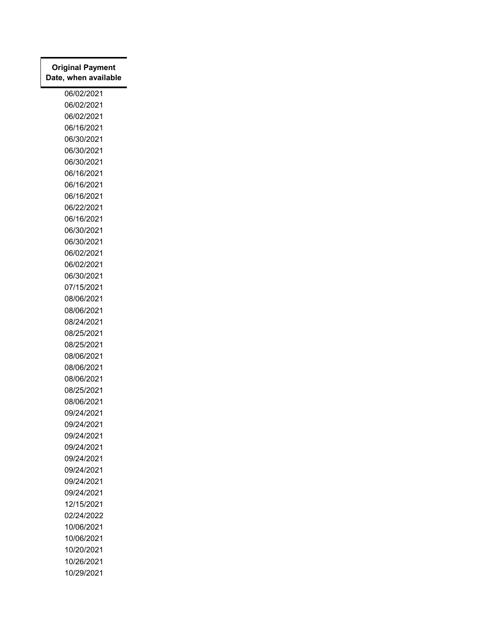| <b>Original Payment</b><br>Date, when available |
|-------------------------------------------------|
| 06/02/2021                                      |
| 06/02/2021                                      |
| 06/02/2021                                      |
| 06/16/2021                                      |
| 06/30/2021                                      |
| 06/30/2021                                      |
| 06/30/2021                                      |
| 06/16/2021                                      |
| 06/16/2021                                      |
| 06/16/2021                                      |
| 06/22/2021                                      |
| 06/16/2021                                      |
| 06/30/2021                                      |
| 06/30/2021                                      |
| 06/02/2021                                      |
| 06/02/2021                                      |
| 06/30/2021                                      |
| 07/15/2021                                      |
| 08/06/2021                                      |
| 08/06/2021                                      |
| 08/24/2021                                      |
| 08/25/2021                                      |
| 08/25/2021                                      |
| 08/06/2021                                      |
| 08/06/2021                                      |
| 08/06/2021                                      |
| 08/25/2021                                      |
| 08/06/2021                                      |
| 09/24/2021                                      |
| 09/24/2021                                      |
| 09/24/2021                                      |
| 09/24/2021                                      |
| 09/24/2021                                      |
| 09/24/2021                                      |
| 09/24/2021                                      |
| 09/24/2021                                      |
| 12/15/2021                                      |
| 02/24/2022                                      |
| 10/06/2021                                      |
| 10/06/2021                                      |
| 10/20/2021<br>10/26/2021                        |
| 10/29/2021                                      |
|                                                 |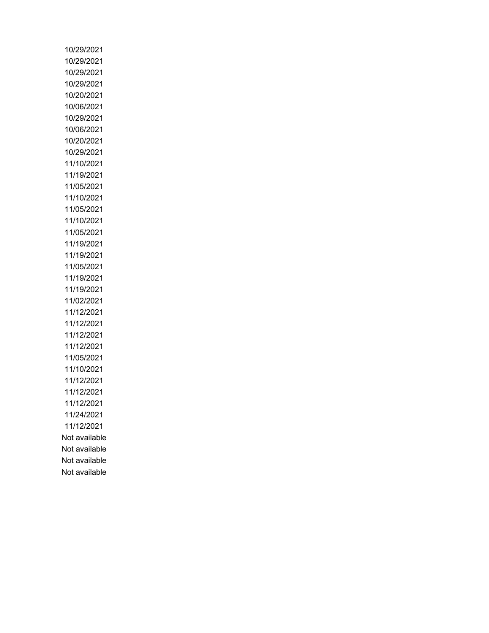10/29/2021 10/29/2021 10/29/2021 10/29/2021 10/20/2021 10/06/2021 10/29/2021 10/06/2021 10/20/2021 10/29/2021 11/10/2021 11/19/2021 11/05/2021 11/10/2021 11/05/2021 11/10/2021 11/05/2021 11/19/2021 11/19/2021 11/05/2021 11/19/2021 11/19/2021 11/02/2021 11/12/2021 11/12/2021 11/12/2021 11/12/2021 11/05/2021 11/10/2021 11/12/2021 11/12/2021 11/12/2021 11/24/2021 11/12/2021 Not available Not available Not available Not available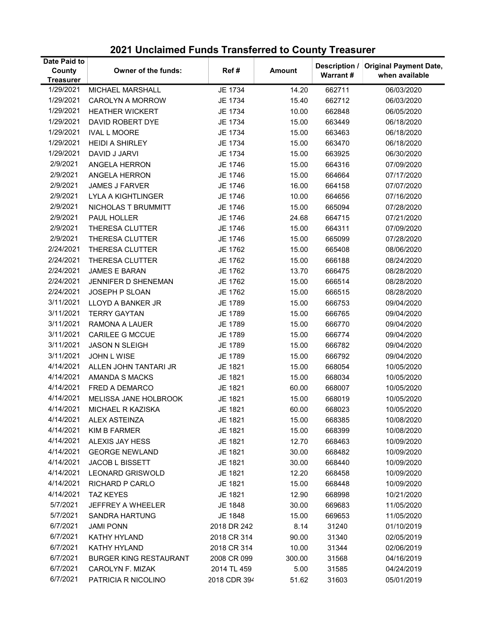| Date Paid to               |                               |              |               | Description /   | <b>Original Payment Date,</b> |
|----------------------------|-------------------------------|--------------|---------------|-----------------|-------------------------------|
| County<br><b>Treasurer</b> | Owner of the funds:           | Ref#         | <b>Amount</b> | <b>Warrant#</b> | when available                |
| 1/29/2021                  | MICHAEL MARSHALL              | JE 1734      | 14.20         | 662711          | 06/03/2020                    |
| 1/29/2021                  | <b>CAROLYN A MORROW</b>       | JE 1734      | 15.40         | 662712          | 06/03/2020                    |
| 1/29/2021                  | <b>HEATHER WICKERT</b>        | JE 1734      | 10.00         | 662848          | 06/05/2020                    |
| 1/29/2021                  | DAVID ROBERT DYE              | JE 1734      | 15.00         | 663449          | 06/18/2020                    |
| 1/29/2021                  | <b>IVAL L MOORE</b>           | JE 1734      | 15.00         | 663463          | 06/18/2020                    |
| 1/29/2021                  | <b>HEIDI A SHIRLEY</b>        | JE 1734      | 15.00         | 663470          | 06/18/2020                    |
| 1/29/2021                  | DAVID J JARVI                 | JE 1734      | 15.00         | 663925          | 06/30/2020                    |
| 2/9/2021                   | ANGELA HERRON                 | JE 1746      | 15.00         | 664316          | 07/09/2020                    |
| 2/9/2021                   | ANGELA HERRON                 | JE 1746      | 15.00         | 664664          | 07/17/2020                    |
| 2/9/2021                   | <b>JAMES J FARVER</b>         | JE 1746      | 16.00         | 664158          | 07/07/2020                    |
| 2/9/2021                   | <b>LYLA A KIGHTLINGER</b>     | JE 1746      | 10.00         | 664656          | 07/16/2020                    |
| 2/9/2021                   | NICHOLAS T BRUMMITT           | JE 1746      | 15.00         | 665094          | 07/28/2020                    |
| 2/9/2021                   | PAUL HOLLER                   | JE 1746      | 24.68         | 664715          | 07/21/2020                    |
| 2/9/2021                   | <b>THERESA CLUTTER</b>        | JE 1746      | 15.00         | 664311          | 07/09/2020                    |
| 2/9/2021                   | THERESA CLUTTER               | JE 1746      | 15.00         | 665099          | 07/28/2020                    |
| 2/24/2021                  | THERESA CLUTTER               | JE 1762      | 15.00         | 665408          | 08/06/2020                    |
| 2/24/2021                  | THERESA CLUTTER               | JE 1762      | 15.00         | 666188          | 08/24/2020                    |
| 2/24/2021                  | <b>JAMES E BARAN</b>          | JE 1762      | 13.70         | 666475          | 08/28/2020                    |
| 2/24/2021                  | JENNIFER D SHENEMAN           | JE 1762      | 15.00         | 666514          | 08/28/2020                    |
| 2/24/2021                  | JOSEPH P SLOAN                | JE 1762      | 15.00         | 666515          | 08/28/2020                    |
| 3/11/2021                  | LLOYD A BANKER JR             | JE 1789      | 15.00         | 666753          | 09/04/2020                    |
| 3/11/2021                  | <b>TERRY GAYTAN</b>           | JE 1789      | 15.00         | 666765          | 09/04/2020                    |
| 3/11/2021                  | RAMONA A LAUER                | JE 1789      | 15.00         | 666770          | 09/04/2020                    |
| 3/11/2021                  | <b>CARILEE G MCCUE</b>        | JE 1789      | 15.00         | 666774          | 09/04/2020                    |
| 3/11/2021                  | <b>JASON N SLEIGH</b>         | JE 1789      | 15.00         | 666782          | 09/04/2020                    |
| 3/11/2021                  | JOHN L WISE                   | JE 1789      | 15.00         | 666792          | 09/04/2020                    |
| 4/14/2021                  | ALLEN JOHN TANTARI JR         | JE 1821      | 15.00         | 668054          | 10/05/2020                    |
| 4/14/2021                  | <b>AMANDA S MACKS</b>         | JE 1821      | 15.00         | 668034          | 10/05/2020                    |
| 4/14/2021                  | <b>FRED A DEMARCO</b>         | JE 1821      | 60.00         | 668007          | 10/05/2020                    |
| 4/14/2021                  | MELISSA JANE HOLBROOK         | JE 1821      | 15.00         | 668019          | 10/05/2020                    |
| 4/14/2021                  | MICHAEL R KAZISKA             | JE 1821      | 60.00         | 668023          | 10/05/2020                    |
| 4/14/2021                  | ALEX ASTEINZA                 | JE 1821      | 15.00         | 668385          | 10/08/2020                    |
| 4/14/2021                  | <b>KIM B FARMER</b>           | JE 1821      | 15.00         | 668399          | 10/08/2020                    |
| 4/14/2021                  | ALEXIS JAY HESS               | JE 1821      | 12.70         | 668463          | 10/09/2020                    |
| 4/14/2021                  | <b>GEORGE NEWLAND</b>         | JE 1821      | 30.00         | 668482          | 10/09/2020                    |
| 4/14/2021                  | <b>JACOB L BISSETT</b>        | JE 1821      | 30.00         | 668440          | 10/09/2020                    |
| 4/14/2021                  | <b>LEONARD GRISWOLD</b>       | JE 1821      | 12.20         | 668458          | 10/09/2020                    |
| 4/14/2021                  | RICHARD P CARLO               | JE 1821      | 15.00         | 668448          | 10/09/2020                    |
| 4/14/2021                  | <b>TAZ KEYES</b>              | JE 1821      | 12.90         | 668998          | 10/21/2020                    |
| 5/7/2021                   | JEFFREY A WHEELER             | JE 1848      | 30.00         | 669683          | 11/05/2020                    |
| 5/7/2021                   | <b>SANDRA HARTUNG</b>         | JE 1848      | 15.00         | 669653          | 11/05/2020                    |
| 6/7/2021                   | <b>JAMI PONN</b>              | 2018 DR 242  | 8.14          | 31240           | 01/10/2019                    |
| 6/7/2021                   | <b>KATHY HYLAND</b>           | 2018 CR 314  | 90.00         | 31340           | 02/05/2019                    |
| 6/7/2021                   | <b>KATHY HYLAND</b>           | 2018 CR 314  | 10.00         | 31344           | 02/06/2019                    |
| 6/7/2021                   | <b>BURGER KING RESTAURANT</b> | 2008 CR 099  | 300.00        | 31568           | 04/16/2019                    |
| 6/7/2021                   | CAROLYN F. MIZAK              | 2014 TL 459  | 5.00          | 31585           | 04/24/2019                    |
| 6/7/2021                   | PATRICIA R NICOLINO           | 2018 CDR 394 | 51.62         | 31603           | 05/01/2019                    |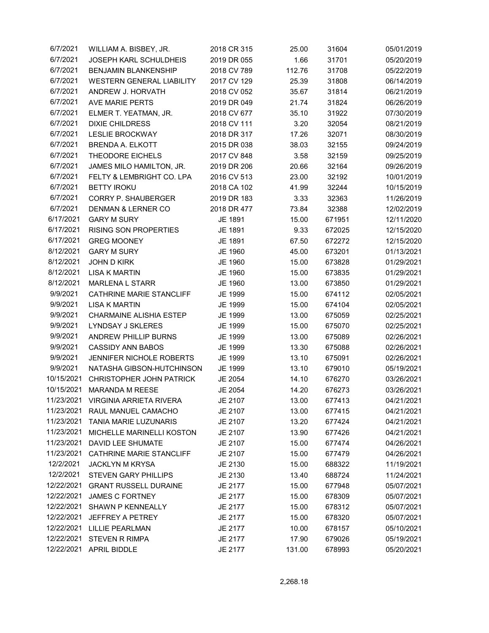| 6/7/2021   | WILLIAM A. BISBEY, JR.           | 2018 CR 315        | 25.00  | 31604  | 05/01/2019 |
|------------|----------------------------------|--------------------|--------|--------|------------|
| 6/7/2021   | <b>JOSEPH KARL SCHULDHEIS</b>    | 2019 DR 055        | 1.66   | 31701  | 05/20/2019 |
| 6/7/2021   | <b>BENJAMIN BLANKENSHIP</b>      | 2018 CV 789        | 112.76 | 31708  | 05/22/2019 |
| 6/7/2021   | <b>WESTERN GENERAL LIABILITY</b> | 2017 CV 129        | 25.39  | 31808  | 06/14/2019 |
| 6/7/2021   | ANDREW J. HORVATH                | 2018 CV 052        | 35.67  | 31814  | 06/21/2019 |
| 6/7/2021   | AVE MARIE PERTS                  | 2019 DR 049        | 21.74  | 31824  | 06/26/2019 |
| 6/7/2021   | ELMER T. YEATMAN, JR.            | 2018 CV 677        | 35.10  | 31922  | 07/30/2019 |
| 6/7/2021   | <b>DIXIE CHILDRESS</b>           | 2018 CV 111        | 3.20   | 32054  | 08/21/2019 |
| 6/7/2021   | <b>LESLIE BROCKWAY</b>           | 2018 DR 317        | 17.26  | 32071  | 08/30/2019 |
| 6/7/2021   | <b>BRENDA A. ELKOTT</b>          | 2015 DR 038        | 38.03  | 32155  | 09/24/2019 |
| 6/7/2021   | <b>THEODORE EICHELS</b>          | 2017 CV 848        | 3.58   | 32159  | 09/25/2019 |
| 6/7/2021   | JAMES MILO HAMILTON, JR.         | 2019 DR 206        | 20.66  | 32164  | 09/26/2019 |
| 6/7/2021   | FELTY & LEMBRIGHT CO. LPA        | 2016 CV 513        | 23.00  | 32192  | 10/01/2019 |
| 6/7/2021   | <b>BETTY IROKU</b>               | 2018 CA 102        | 41.99  | 32244  | 10/15/2019 |
| 6/7/2021   | <b>CORRY P. SHAUBERGER</b>       | 2019 DR 183        | 3.33   | 32363  | 11/26/2019 |
| 6/7/2021   | <b>DENMAN &amp; LERNER CO</b>    | 2018 DR 477        | 73.84  | 32388  | 12/02/2019 |
| 6/17/2021  | <b>GARY M SURY</b>               | JE 1891            | 15.00  | 671951 | 12/11/2020 |
| 6/17/2021  | <b>RISING SON PROPERTIES</b>     | JE 1891            | 9.33   | 672025 | 12/15/2020 |
| 6/17/2021  | <b>GREG MOONEY</b>               | JE 1891            | 67.50  | 672272 | 12/15/2020 |
| 8/12/2021  | <b>GARY M SURY</b>               | JE 1960            | 45.00  | 673201 | 01/13/2021 |
| 8/12/2021  | <b>JOHN D KIRK</b>               |                    |        |        |            |
| 8/12/2021  | <b>LISA K MARTIN</b>             | JE 1960<br>JE 1960 | 15.00  | 673828 | 01/29/2021 |
|            |                                  |                    | 15.00  | 673835 | 01/29/2021 |
| 8/12/2021  | <b>MARLENA L STARR</b>           | JE 1960            | 13.00  | 673850 | 01/29/2021 |
| 9/9/2021   | CATHRINE MARIE STANCLIFF         | JE 1999            | 15.00  | 674112 | 02/05/2021 |
| 9/9/2021   | <b>LISA K MARTIN</b>             | JE 1999            | 15.00  | 674104 | 02/05/2021 |
| 9/9/2021   | <b>CHARMAINE ALISHIA ESTEP</b>   | JE 1999            | 13.00  | 675059 | 02/25/2021 |
| 9/9/2021   | LYNDSAY J SKLERES                | JE 1999            | 15.00  | 675070 | 02/25/2021 |
| 9/9/2021   | ANDREW PHILLIP BURNS             | JE 1999            | 13.00  | 675089 | 02/26/2021 |
| 9/9/2021   | <b>CASSIDY ANN BABOS</b>         | JE 1999            | 13.30  | 675088 | 02/26/2021 |
| 9/9/2021   | JENNIFER NICHOLE ROBERTS         | JE 1999            | 13.10  | 675091 | 02/26/2021 |
| 9/9/2021   | NATASHA GIBSON-HUTCHINSON        | JE 1999            | 13.10  | 679010 | 05/19/2021 |
| 10/15/2021 | <b>CHRISTOPHER JOHN PATRICK</b>  | JE 2054            | 14.10  | 676270 | 03/26/2021 |
| 10/15/2021 | MARANDA M REESE                  | JE 2054            | 14.20  | 676273 | 03/26/2021 |
| 11/23/2021 | VIRGINIA ARRIETA RIVERA          | JE 2107            | 13.00  | 677413 | 04/21/2021 |
| 11/23/2021 | RAUL MANUEL CAMACHO              | JE 2107            | 13.00  | 677415 | 04/21/2021 |
| 11/23/2021 | TANIA MARIE LUZUNARIS            | JE 2107            | 13.20  | 677424 | 04/21/2021 |
| 11/23/2021 | MICHELLE MARINELLI KOSTON        | JE 2107            | 13.90  | 677426 | 04/21/2021 |
| 11/23/2021 | DAVID LEE SHUMATE                | JE 2107            | 15.00  | 677474 | 04/26/2021 |
| 11/23/2021 | CATHRINE MARIE STANCLIFF         | JE 2107            | 15.00  | 677479 | 04/26/2021 |
| 12/2/2021  | <b>JACKLYN M KRYSA</b>           | JE 2130            | 15.00  | 688322 | 11/19/2021 |
| 12/2/2021  | <b>STEVEN GARY PHILLIPS</b>      | JE 2130            | 13.40  | 688724 | 11/24/2021 |
| 12/22/2021 | <b>GRANT RUSSELL DURAINE</b>     | JE 2177            | 15.00  | 677948 | 05/07/2021 |
| 12/22/2021 | <b>JAMES C FORTNEY</b>           | JE 2177            | 15.00  | 678309 | 05/07/2021 |
| 12/22/2021 | SHAWN P KENNEALLY                | JE 2177            | 15.00  | 678312 | 05/07/2021 |
| 12/22/2021 | <b>JEFFREY A PETREY</b>          | JE 2177            | 15.00  | 678320 | 05/07/2021 |
| 12/22/2021 | LILLIE PEARLMAN                  | JE 2177            | 10.00  | 678157 | 05/10/2021 |
| 12/22/2021 | <b>STEVEN R RIMPA</b>            | JE 2177            | 17.90  | 679026 | 05/19/2021 |
| 12/22/2021 | <b>APRIL BIDDLE</b>              | JE 2177            | 131.00 | 678993 | 05/20/2021 |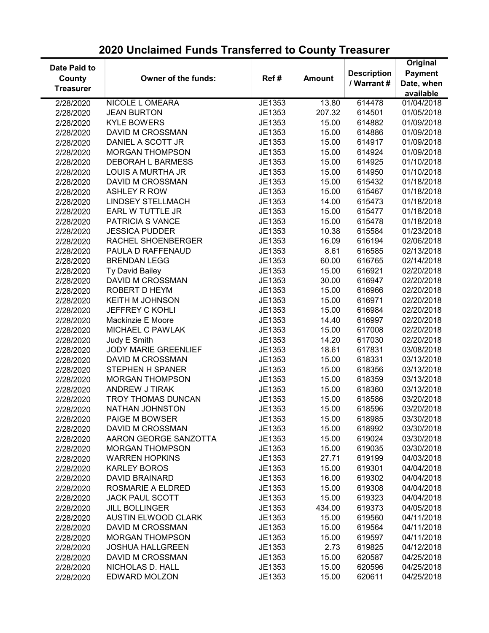#### Date Paid to **County Treasurer** Owner of the funds: Ref # Amount Description / Warrant # **Original** Payment Date, when available 2/28/2020 NICOLE L OMEARA JE1353 13.80 614478 01/04/2018 2/28/2020 JEAN BURTON JE1353 207.32 614501 01/05/2018 2/28/2020 KYLE BOWERS JE1353 15.00 614882 01/09/2018 2/28/2020 DAVID M CROSSMAN JE1353 15.00 614886 01/09/2018 2/28/2020 DANIEL A SCOTT JR JE1353 15.00 614917 01/09/2018 2/28/2020 MORGAN THOMPSON JE1353 15.00 614924 01/09/2018 2/28/2020 DEBORAH L BARMESS JE1353 15.00 614925 01/10/2018 2/28/2020 LOUIS A MURTHA JR JE1353 15.00 614950 01/10/2018 2/28/2020 DAVID M CROSSMAN JE1353 15.00 615432 01/18/2018 2/28/2020 ASHLEY R ROW JE1353 15.00 615467 01/18/2018 2/28/2020 LINDSEY STELLMACH JE1353 14.00 615473 01/18/2018 2/28/2020 EARL W TUTTLE JR JE1353 15.00 615477 01/18/2018 2/28/2020 PATRICIA S VANCE JE1353 15.00 615478 01/18/2018 2/28/2020 JESSICA PUDDER JE1353 10.38 615584 01/23/2018 2/28/2020 RACHEL SHOENBERGER JE1353 16.09 616194 02/06/2018 2/28/2020 PAULA D RAFFENAUD JE1353 8.61 616585 02/13/2018 2/28/2020 BRENDAN LEGG JE1353 60.00 616765 02/14/2018 2/28/2020 Ty David Bailey JE1353 15.00 616921 02/20/2018 2/28/2020 DAVID M CROSSMAN JE1353 30.00 616947 02/20/2018 2/28/2020 ROBERT D HEYM JE1353 15.00 616966 02/20/2018 2/28/2020 KEITH M JOHNSON JE1353 15.00 616971 02/20/2018 2/28/2020 JEFFREY C KOHLI JE1353 15.00 616984 02/20/2018 2/28/2020 Mackinzie E Moore JE1353 14.40 616997 02/20/2018 2/28/2020 MICHAEL C PAWLAK JE1353 15.00 617008 02/20/2018 2/28/2020 Judy E Smith JE1353 14.20 617030 02/20/2018 2/28/2020 JODY MARIE GREENLIEF JE1353 18.61 617831 03/08/2018 2/28/2020 DAVID M CROSSMAN JE1353 15.00 618331 03/13/2018 2/28/2020 STEPHEN H SPANER JE1353 15.00 618356 03/13/2018 2/28/2020 MORGAN THOMPSON JE1353 15.00 618359 03/13/2018 2/28/2020 ANDREW J TIRAK JE1353 15.00 618360 03/13/2018 2/28/2020 TROY THOMAS DUNCAN JE1353 15.00 618586 03/20/2018 2/28/2020 NATHAN JOHNSTON JE1353 15.00 618596 03/20/2018 2/28/2020 PAIGE M BOWSER JE1353 15.00 618985 03/30/2018 2/28/2020 DAVID M CROSSMAN JE1353 15.00 618992 03/30/2018 2/28/2020 AARON GEORGE SANZOTTA JE1353 15.00 619024 03/30/2018 2/28/2020 MORGAN THOMPSON JE1353 15.00 619035 03/30/2018 2/28/2020 WARREN HOPKINS JE1353 27.71 619199 04/03/2018 2/28/2020 KARLEY BOROS JE1353 15.00 619301 04/04/2018 2/28/2020 DAVID BRAINARD JE1353 16.00 619302 04/04/2018 2/28/2020 ROSMARIE A ELDRED JE1353 15.00 619308 04/04/2018 2/28/2020 JACK PAUL SCOTT JE1353 15.00 619323 04/04/2018 2/28/2020 JILL BOLLINGER JE1353 434.00 619373 04/05/2018 2/28/2020 AUSTIN ELWOOD CLARK JE1353 15.00 619560 04/11/2018 2/28/2020 DAVID M CROSSMAN JE1353 15.00 619564 04/11/2018 2/28/2020 MORGAN THOMPSON JE1353 15.00 619597 04/11/2018 2/28/2020 JOSHUA HALLGREEN JE1353 2.73 619825 04/12/2018 2/28/2020 DAVID M CROSSMAN JE1353 15.00 620587 04/25/2018 2/28/2020 NICHOLAS D. HALL JE1353 15.00 620596 04/25/2018 2/28/2020 EDWARD MOLZON JE1353 15.00 620611 04/25/2018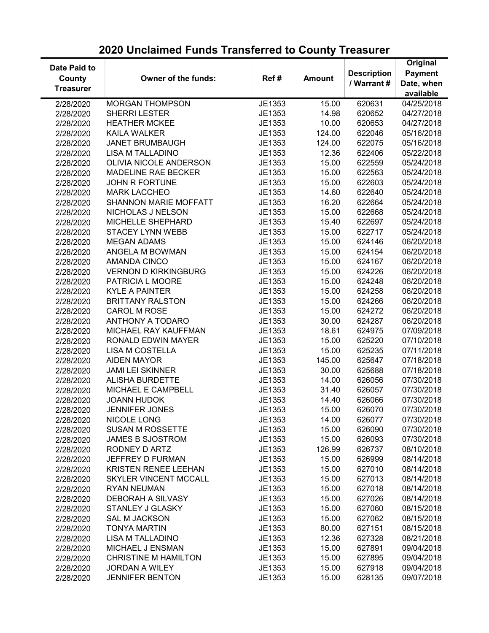| 2020 Unclaimed Funds Transferred to County Treasurer |  |  |
|------------------------------------------------------|--|--|
|------------------------------------------------------|--|--|

| Date Paid to     |                               |        |               |                    | Original            |
|------------------|-------------------------------|--------|---------------|--------------------|---------------------|
|                  |                               |        |               | <b>Description</b> | <b>Payment</b>      |
| County           | Owner of the funds:           | Ref#   | <b>Amount</b> | / Warrant #        | Date, when          |
| <b>Treasurer</b> |                               |        |               |                    | available           |
| 2/28/2020        | <b>MORGAN THOMPSON</b>        | JE1353 | 15.00         | 620631             | $\sqrt{04}/25/2018$ |
| 2/28/2020        | <b>SHERRI LESTER</b>          | JE1353 | 14.98         | 620652             | 04/27/2018          |
| 2/28/2020        | <b>HEATHER MCKEE</b>          | JE1353 | 10.00         | 620653             | 04/27/2018          |
| 2/28/2020        | <b>KAILA WALKER</b>           | JE1353 | 124.00        | 622046             | 05/16/2018          |
| 2/28/2020        | <b>JANET BRUMBAUGH</b>        | JE1353 | 124.00        | 622075             | 05/16/2018          |
| 2/28/2020        | <b>LISA M TALLADINO</b>       | JE1353 | 12.36         | 622406             | 05/22/2018          |
| 2/28/2020        | <b>OLIVIA NICOLE ANDERSON</b> | JE1353 | 15.00         | 622559             | 05/24/2018          |
| 2/28/2020        | <b>MADELINE RAE BECKER</b>    | JE1353 | 15.00         | 622563             | 05/24/2018          |
| 2/28/2020        | JOHN R FORTUNE                | JE1353 | 15.00         | 622603             | 05/24/2018          |
| 2/28/2020        | <b>MARK LACCHEO</b>           | JE1353 | 14.60         | 622640             | 05/24/2018          |
| 2/28/2020        | <b>SHANNON MARIE MOFFATT</b>  | JE1353 | 16.20         | 622664             | 05/24/2018          |
| 2/28/2020        | NICHOLAS J NELSON             | JE1353 | 15.00         | 622668             | 05/24/2018          |
| 2/28/2020        | MICHELLE SHEPHARD             | JE1353 | 15.40         | 622697             | 05/24/2018          |
| 2/28/2020        | <b>STACEY LYNN WEBB</b>       | JE1353 | 15.00         | 622717             | 05/24/2018          |
| 2/28/2020        | <b>MEGAN ADAMS</b>            | JE1353 | 15.00         | 624146             | 06/20/2018          |
| 2/28/2020        | ANGELA M BOWMAN               | JE1353 | 15.00         | 624154             | 06/20/2018          |
| 2/28/2020        | <b>AMANDA CINCO</b>           | JE1353 | 15.00         | 624167             | 06/20/2018          |
| 2/28/2020        | <b>VERNON D KIRKINGBURG</b>   | JE1353 | 15.00         | 624226             | 06/20/2018          |
| 2/28/2020        | PATRICIA L MOORE              | JE1353 | 15.00         | 624248             | 06/20/2018          |
| 2/28/2020        | <b>KYLE A PAINTER</b>         | JE1353 | 15.00         | 624258             | 06/20/2018          |
| 2/28/2020        | <b>BRITTANY RALSTON</b>       | JE1353 | 15.00         | 624266             | 06/20/2018          |
| 2/28/2020        | <b>CAROL M ROSE</b>           | JE1353 | 15.00         | 624272             | 06/20/2018          |
| 2/28/2020        | ANTHONY A TODARO              | JE1353 | 30.00         | 624287             | 06/20/2018          |
|                  | MICHAEL RAY KAUFFMAN          | JE1353 | 18.61         | 624975             | 07/09/2018          |
| 2/28/2020        | RONALD EDWIN MAYER            | JE1353 | 15.00         | 625220             | 07/10/2018          |
| 2/28/2020        | <b>LISA M COSTELLA</b>        | JE1353 | 15.00         | 625235             | 07/11/2018          |
| 2/28/2020        |                               |        |               |                    |                     |
| 2/28/2020        | <b>AIDEN MAYOR</b>            | JE1353 | 145.00        | 625647             | 07/18/2018          |
| 2/28/2020        | <b>JAMI LEI SKINNER</b>       | JE1353 | 30.00         | 625688             | 07/18/2018          |
| 2/28/2020        | <b>ALISHA BURDETTE</b>        | JE1353 | 14.00         | 626056             | 07/30/2018          |
| 2/28/2020        | MICHAEL E CAMPBELL            | JE1353 | 31.40         | 626057             | 07/30/2018          |
| 2/28/2020        | <b>JOANN HUDOK</b>            | JE1353 | 14.40         | 626066             | 07/30/2018          |
| 2/28/2020        | <b>JENNIFER JONES</b>         | JE1353 | 15.00         | 626070             | 07/30/2018          |
| 2/28/2020        | NICOLE LONG                   | JE1353 | 14.00         | 626077             | 07/30/2018          |
| 2/28/2020        | <b>SUSAN M ROSSETTE</b>       | JE1353 | 15.00         | 626090             | 07/30/2018          |
| 2/28/2020        | <b>JAMES B SJOSTROM</b>       | JE1353 | 15.00         | 626093             | 07/30/2018          |
| 2/28/2020        | RODNEY D ARTZ                 | JE1353 | 126.99        | 626737             | 08/10/2018          |
| 2/28/2020        | JEFFREY D FURMAN              | JE1353 | 15.00         | 626999             | 08/14/2018          |
| 2/28/2020        | KRISTEN RENEE LEEHAN          | JE1353 | 15.00         | 627010             | 08/14/2018          |
| 2/28/2020        | <b>SKYLER VINCENT MCCALL</b>  | JE1353 | 15.00         | 627013             | 08/14/2018          |
| 2/28/2020        | <b>RYAN NEUMAN</b>            | JE1353 | 15.00         | 627018             | 08/14/2018          |
| 2/28/2020        | <b>DEBORAH A SILVASY</b>      | JE1353 | 15.00         | 627026             | 08/14/2018          |
| 2/28/2020        | STANLEY J GLASKY              | JE1353 | 15.00         | 627060             | 08/15/2018          |
| 2/28/2020        | <b>SAL M JACKSON</b>          | JE1353 | 15.00         | 627062             | 08/15/2018          |
| 2/28/2020        | <b>TONYA MARTIN</b>           | JE1353 | 80.00         | 627151             | 08/15/2018          |
| 2/28/2020        | LISA M TALLADINO              | JE1353 | 12.36         | 627328             | 08/21/2018          |
| 2/28/2020        | MICHAEL J ENSMAN              | JE1353 | 15.00         | 627891             | 09/04/2018          |
| 2/28/2020        | <b>CHRISTINE M HAMILTON</b>   | JE1353 | 15.00         | 627895             | 09/04/2018          |
| 2/28/2020        | <b>JORDAN A WILEY</b>         | JE1353 | 15.00         | 627918             | 09/04/2018          |
| 2/28/2020        | <b>JENNIFER BENTON</b>        | JE1353 | 15.00         | 628135             | 09/07/2018          |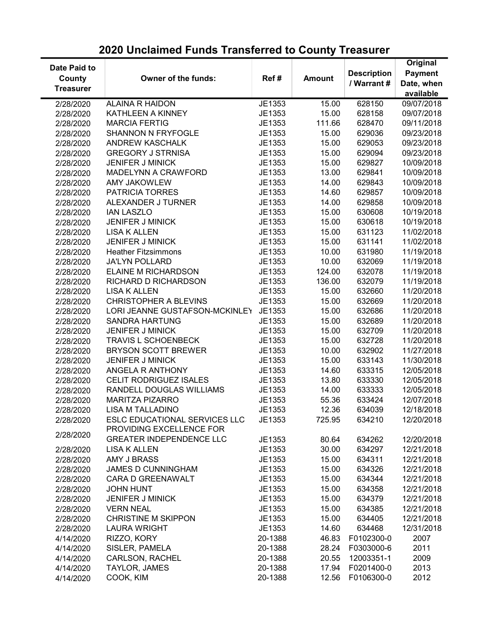| Date Paid to     |                                 |         |               |                    | Original       |
|------------------|---------------------------------|---------|---------------|--------------------|----------------|
| County           | Owner of the funds:             | Ref#    | <b>Amount</b> | <b>Description</b> | <b>Payment</b> |
| <b>Treasurer</b> |                                 |         |               | / Warrant #        | Date, when     |
|                  |                                 |         |               |                    | available      |
| 2/28/2020        | <b>ALAINA R HAIDON</b>          | JE1353  | 15.00         | 628150             | 09/07/2018     |
| 2/28/2020        | KATHLEEN A KINNEY               | JE1353  | 15.00         | 628158             | 09/07/2018     |
| 2/28/2020        | <b>MARCIA FERTIG</b>            | JE1353  | 111.66        | 628470             | 09/11/2018     |
| 2/28/2020        | <b>SHANNON N FRYFOGLE</b>       | JE1353  | 15.00         | 629036             | 09/23/2018     |
| 2/28/2020        | <b>ANDREW KASCHALK</b>          | JE1353  | 15.00         | 629053             | 09/23/2018     |
| 2/28/2020        | <b>GREGORY J STRNISA</b>        | JE1353  | 15.00         | 629094             | 09/23/2018     |
| 2/28/2020        | <b>JENIFER J MINICK</b>         | JE1353  | 15.00         | 629827             | 10/09/2018     |
| 2/28/2020        | MADELYNN A CRAWFORD             | JE1353  | 13.00         | 629841             | 10/09/2018     |
| 2/28/2020        | <b>AMY JAKOWLEW</b>             | JE1353  | 14.00         | 629843             | 10/09/2018     |
| 2/28/2020        | PATRICIA TORRES                 | JE1353  | 14.60         | 629857             | 10/09/2018     |
| 2/28/2020        | ALEXANDER J TURNER              | JE1353  | 14.00         | 629858             | 10/09/2018     |
| 2/28/2020        | <b>IAN LASZLO</b>               | JE1353  | 15.00         | 630608             | 10/19/2018     |
| 2/28/2020        | <b>JENIFER J MINICK</b>         | JE1353  | 15.00         | 630618             | 10/19/2018     |
| 2/28/2020        | <b>LISA K ALLEN</b>             | JE1353  | 15.00         | 631123             | 11/02/2018     |
| 2/28/2020        | <b>JENIFER J MINICK</b>         | JE1353  | 15.00         | 631141             | 11/02/2018     |
| 2/28/2020        | <b>Heather Fitzsimmons</b>      | JE1353  | 10.00         | 631980             | 11/19/2018     |
|                  | <b>JA'LYN POLLARD</b>           | JE1353  | 10.00         | 632069             | 11/19/2018     |
| 2/28/2020        | ELAINE M RICHARDSON             |         |               |                    |                |
| 2/28/2020        |                                 | JE1353  | 124.00        | 632078             | 11/19/2018     |
| 2/28/2020        | RICHARD D RICHARDSON            | JE1353  | 136.00        | 632079             | 11/19/2018     |
| 2/28/2020        | <b>LISA K ALLEN</b>             | JE1353  | 15.00         | 632660             | 11/20/2018     |
| 2/28/2020        | <b>CHRISTOPHER A BLEVINS</b>    | JE1353  | 15.00         | 632669             | 11/20/2018     |
| 2/28/2020        | LORI JEANNE GUSTAFSON-MCKINLEY  | JE1353  | 15.00         | 632686             | 11/20/2018     |
| 2/28/2020        | <b>SANDRA HARTUNG</b>           | JE1353  | 15.00         | 632689             | 11/20/2018     |
| 2/28/2020        | <b>JENIFER J MINICK</b>         | JE1353  | 15.00         | 632709             | 11/20/2018     |
| 2/28/2020        | <b>TRAVIS L SCHOENBECK</b>      | JE1353  | 15.00         | 632728             | 11/20/2018     |
| 2/28/2020        | <b>BRYSON SCOTT BREWER</b>      | JE1353  | 10.00         | 632902             | 11/27/2018     |
| 2/28/2020        | <b>JENIFER J MINICK</b>         | JE1353  | 15.00         | 633143             | 11/30/2018     |
| 2/28/2020        | ANGELA R ANTHONY                | JE1353  | 14.60         | 633315             | 12/05/2018     |
| 2/28/2020        | CELIT RODRIGUEZ ISALES          | JE1353  | 13.80         | 633330             | 12/05/2018     |
| 2/28/2020        | RANDELL DOUGLAS WILLIAMS        | JE1353  | 14.00         | 633333             | 12/05/2018     |
| 2/28/2020        | <b>MARITZA PIZARRO</b>          | JE1353  | 55.36         | 633424             | 12/07/2018     |
| 2/28/2020        | <b>LISA M TALLADINO</b>         | JE1353  | 12.36         | 634039             | 12/18/2018     |
| 2/28/2020        | ESLC EDUCATIONAL SERVICES LLC   | JE1353  | 725.95        | 634210             | 12/20/2018     |
|                  | PROVIDING EXCELLENCE FOR        |         |               |                    |                |
| 2/28/2020        | <b>GREATER INDEPENDENCE LLC</b> | JE1353  | 80.64         | 634262             | 12/20/2018     |
| 2/28/2020        | <b>LISA K ALLEN</b>             | JE1353  | 30.00         | 634297             | 12/21/2018     |
| 2/28/2020        | <b>AMY J BRASS</b>              | JE1353  | 15.00         | 634311             | 12/21/2018     |
| 2/28/2020        | <b>JAMES D CUNNINGHAM</b>       | JE1353  | 15.00         | 634326             | 12/21/2018     |
| 2/28/2020        | CARA D GREENAWALT               | JE1353  | 15.00         | 634344             | 12/21/2018     |
| 2/28/2020        | <b>JOHN HUNT</b>                | JE1353  | 15.00         | 634358             | 12/21/2018     |
| 2/28/2020        | <b>JENIFER J MINICK</b>         | JE1353  | 15.00         | 634379             | 12/21/2018     |
| 2/28/2020        | <b>VERN NEAL</b>                | JE1353  | 15.00         | 634385             | 12/21/2018     |
| 2/28/2020        | <b>CHRISTINE M SKIPPON</b>      | JE1353  | 15.00         | 634405             | 12/21/2018     |
| 2/28/2020        | <b>LAURA WRIGHT</b>             | JE1353  | 14.60         | 634468             | 12/31/2018     |
| 4/14/2020        | RIZZO, KORY                     | 20-1388 | 46.83         | F0102300-0         | 2007           |
| 4/14/2020        | SISLER, PAMELA                  | 20-1388 | 28.24         | F0303000-6         | 2011           |
|                  | <b>CARLSON, RACHEL</b>          | 20-1388 | 20.55         | 12003351-1         | 2009           |
| 4/14/2020        | TAYLOR, JAMES                   | 20-1388 | 17.94         | F0201400-0         | 2013           |
| 4/14/2020        |                                 |         |               | F0106300-0         |                |
| 4/14/2020        | COOK, KIM                       | 20-1388 | 12.56         |                    | 2012           |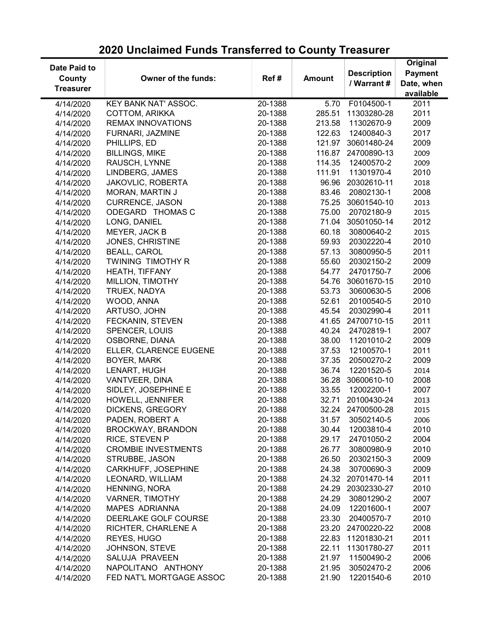| Date Paid to<br>County | Owner of the funds:        | Ref#               | <b>Amount</b> | <b>Description</b> | Original<br><b>Payment</b> |
|------------------------|----------------------------|--------------------|---------------|--------------------|----------------------------|
|                        |                            |                    |               | / Warrant #        | Date, when                 |
| <b>Treasurer</b>       |                            |                    |               |                    | available                  |
| 4/14/2020              | KEY BANK NAT' ASSOC.       | 20-1388            | 5.70          | F0104500-1         | 2011                       |
| 4/14/2020              | <b>COTTOM, ARIKKA</b>      | 20-1388            | 285.51        | 11303280-28        | 2011                       |
| 4/14/2020              | <b>REMAX INNOVATIONS</b>   | 20-1388            | 213.58        | 11302670-9         | 2009                       |
| 4/14/2020              | FURNARI, JAZMINE           | 20-1388            | 122.63        | 12400840-3         | 2017                       |
| 4/14/2020              | PHILLIPS, ED               | 20-1388            | 121.97        | 30601480-24        | 2009                       |
| 4/14/2020              | <b>BILLINGS, MIKE</b>      | 20-1388            | 116.87        | 24700890-13        | 2009                       |
| 4/14/2020              | RAUSCH, LYNNE              | 20-1388            | 114.35        | 12400570-2         | 2009                       |
| 4/14/2020              | LINDBERG, JAMES            | 20-1388            | 111.91        | 11301970-4         | 2010                       |
| 4/14/2020              | JAKOVLIC, ROBERTA          | 20-1388            | 96.96         | 20302610-11        | 2018                       |
| 4/14/2020              | MORAN, MARTIN J            | 20-1388            | 83.46         | 20802130-1         | 2008                       |
| 4/14/2020              | <b>CURRENCE, JASON</b>     | 20-1388            | 75.25         | 30601540-10        | 2013                       |
| 4/14/2020              | ODEGARD THOMAS C           | 20-1388            | 75.00         | 20702180-9         | 2015                       |
| 4/14/2020              | LONG, DANIEL               | 20-1388            | 71.04         | 30501050-14        | 2012                       |
| 4/14/2020              | MEYER, JACK B              | 20-1388            | 60.18         | 30800640-2         | 2015                       |
| 4/14/2020              | JONES, CHRISTINE           | 20-1388            | 59.93         | 20302220-4         | 2010                       |
| 4/14/2020              | <b>BEALL, CAROL</b>        | 20-1388            | 57.13         | 30800950-5         | 2011                       |
| 4/14/2020              | TWINING TIMOTHY R          | 20-1388            | 55.60         | 20302150-2         | 2009                       |
| 4/14/2020              | HEATH, TIFFANY             | 20-1388            | 54.77         | 24701750-7         | 2006                       |
| 4/14/2020              | MILLION, TIMOTHY           | 20-1388            | 54.76         | 30601670-15        | 2010                       |
| 4/14/2020              | TRUEX, NADYA               | 20-1388            | 53.73         | 30600630-5         | 2006                       |
|                        | WOOD, ANNA                 | 20-1388            | 52.61         | 20100540-5         | 2010                       |
| 4/14/2020              | ARTUSO, JOHN               | 20-1388            | 45.54         | 20302990-4         | 2011                       |
| 4/14/2020              |                            | 20-1388            | 41.65         | 24700710-15        | 2011                       |
| 4/14/2020              | FECKANIN, STEVEN           |                    |               |                    |                            |
| 4/14/2020              | <b>SPENCER, LOUIS</b>      | 20-1388<br>20-1388 | 40.24         | 24702819-1         | 2007                       |
| 4/14/2020              | OSBORNE, DIANA             |                    | 38.00         | 11201010-2         | 2009                       |
| 4/14/2020              | ELLER, CLARENCE EUGENE     | 20-1388            | 37.53         | 12100570-1         | 2011                       |
| 4/14/2020              | BOYER, MARK                | 20-1388            | 37.35         | 20500270-2         | 2009                       |
| 4/14/2020              | LENART, HUGH               | 20-1388            | 36.74         | 12201520-5         | 2014                       |
| 4/14/2020              | VANTVEER, DINA             | 20-1388            | 36.28         | 30600610-10        | 2008                       |
| 4/14/2020              | SIDLEY, JOSEPHINE E        | 20-1388            | 33.55         | 12002200-1         | 2007                       |
| 4/14/2020              | HOWELL, JENNIFER           | 20-1388            | 32.71         | 20100430-24        | 2013                       |
| 4/14/2020              | DICKENS, GREGORY           | 20-1388            |               | 32.24 24700500-28  | 2015                       |
| 4/14/2020              | PADEN, ROBERT A            | 20-1388            | 31.57         | 30502140-5         | 2006                       |
| 4/14/2020              | BROCKWAY, BRANDON          | 20-1388            | 30.44         | 12003810-4         | 2010                       |
| 4/14/2020              | RICE, STEVEN P             | 20-1388            | 29.17         | 24701050-2         | 2004                       |
| 4/14/2020              | <b>CROMBIE INVESTMENTS</b> | 20-1388            | 26.77         | 30800980-9         | 2010                       |
| 4/14/2020              | STRUBBE, JASON             | 20-1388            | 26.50         | 20302150-3         | 2009                       |
| 4/14/2020              | CARKHUFF, JOSEPHINE        | 20-1388            | 24.38         | 30700690-3         | 2009                       |
| 4/14/2020              | LEONARD, WILLIAM           | 20-1388            |               | 24.32 20701470-14  | 2011                       |
| 4/14/2020              | HENNING, NORA              | 20-1388            |               | 24.29 20302330-27  | 2010                       |
| 4/14/2020              | <b>VARNER, TIMOTHY</b>     | 20-1388            | 24.29         | 30801290-2         | 2007                       |
| 4/14/2020              | <b>MAPES ADRIANNA</b>      | 20-1388            | 24.09         | 12201600-1         | 2007                       |
| 4/14/2020              | DEERLAKE GOLF COURSE       | 20-1388            | 23.30         | 20400570-7         | 2010                       |
| 4/14/2020              | RICHTER, CHARLENE A        | 20-1388            |               | 23.20 24700220-22  | 2008                       |
| 4/14/2020              | REYES, HUGO                | 20-1388            | 22.83         | 11201830-21        | 2011                       |
| 4/14/2020              | JOHNSON, STEVE             | 20-1388            | 22.11         | 11301780-27        | 2011                       |
| 4/14/2020              | SALUJA PRAVEEN             | 20-1388            | 21.97         | 11500490-2         | 2006                       |
| 4/14/2020              | NAPOLITANO ANTHONY         | 20-1388            | 21.95         | 30502470-2         | 2006                       |
| 4/14/2020              | FED NAT'L MORTGAGE ASSOC   | 20-1388            | 21.90         | 12201540-6         | 2010                       |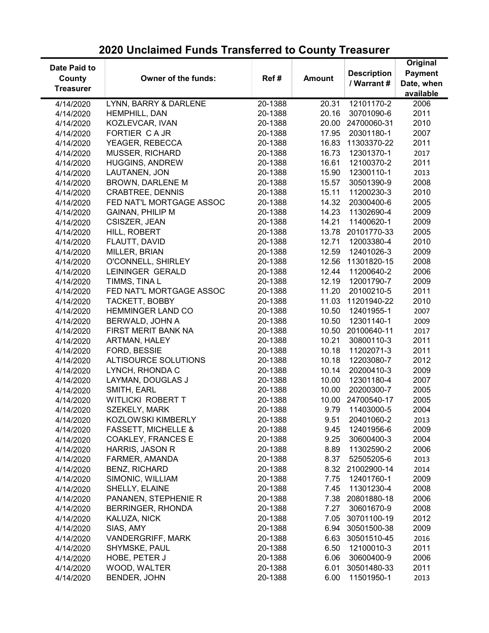#### Date Paid to **County Treasurer** Owner of the funds: Ref # Amount Description / Warrant # **Original** Payment Date, when available 4/14/2020 LYNN, BARRY & DARLENE 20-1388 20.31 12101170-2 2006 4/14/2020 HEMPHILL, DAN 20-1388 20.16 30701090-6 2011 4/14/2020 KOZLEVCAR, IVAN 20-1388 20.00 24700060-31 2010 4/14/2020 FORTIER C A JR 20-1388 17.95 20301180-1 2007 4/14/2020 YEAGER, REBECCA 20-1388 16.83 11303370-22 2011 4/14/2020 MUSSER, RICHARD 20-1388 16.73 12301370-1 2017 4/14/2020 HUGGINS, ANDREW 20-1388 16.61 12100370-2 2011 4/14/2020 LAUTANEN, JON 20-1388 15.90 12300110-1 2013 4/14/2020 BROWN, DARLENE M 20-1388 15.57 30501390-9 2008 4/14/2020 CRABTREE, DENNIS 20-1388 15.11 11200230-3 2010 4/14/2020 FED NAT'L MORTGAGE ASSOC 20-1388 14.32 20300400-6 2005 4/14/2020 GAINAN, PHILIP M 20-1388 14.23 11302690-4 2009 4/14/2020 CSISZER, JEAN 20-1388 14.21 11400620-1 2009 4/14/2020 HILL, ROBERT 20-1388 13.78 20101770-33 2005 4/14/2020 FLAUTT, DAVID 20-1388 12.71 12003380-4 2010 4/14/2020 MILLER, BRIAN 20-1388 12.59 12401026-3 2009 4/14/2020 O'CONNELL, SHIRLEY 20-1388 12.56 11301820-15 2008 4/14/2020 LEININGER GERALD 20-1388 12.44 11200640-2 2006 4/14/2020 TIMMS, TINA L 20-1388 12.19 12001790-7 2009 4/14/2020 FED NAT'L MORTGAGE ASSOC 20-1388 11.20 20100210-5 2011 4/14/2020 TACKETT, BOBBY 20-1388 11.03 11201940-22 2010 4/14/2020 HEMMINGER LAND CO 20-1388 10.50 12401955-1 2007 4/14/2020 BERWALD, JOHN A 20-1388 10.50 12301140-1 2009 4/14/2020 FIRST MERIT BANK NA 20-1388 10.50 20100640-11 2017 4/14/2020 ARTMAN, HALEY 20-1388 10.21 30800110-3 2011 4/14/2020 FORD, BESSIE 20-1388 10.18 11202071-3 2011 4/14/2020 ALTISOURCE SOLUTIONS 20-1388 10.18 12203080-7 2012 4/14/2020 LYNCH, RHONDA C 20-1388 10.14 20200410-3 2009 4/14/2020 LAYMAN, DOUGLAS J 20-1388 10.00 12301180-4 2007 4/14/2020 SMITH, EARL 20-1388 10.00 20200300-7 2005 4/14/2020 WITLICKI ROBERT T 20-1388 10.00 24700540-17 2005 4/14/2020 SZEKELY, MARK 20-1388 9.79 11403000-5 2004 4/14/2020 KOZLOWSKI KIMBERLY 20-1388 9.51 20401060-2 2013 4/14/2020 FASSETT, MICHELLE & 20-1388 9.45 12401956-6 2009 4/14/2020 COAKLEY, FRANCES E 20-1388 9.25 30600400-3 2004 4/14/2020 HARRIS, JASON R 20-1388 8.89 11302590-2 2006 4/14/2020 FARMER, AMANDA 20-1388 8.37 52505205-6 2013 4/14/2020 BENZ, RICHARD 20-1388 8.32 21002900-14 2014 4/14/2020 SIMONIC, WILLIAM 20-1388 7.75 12401760-1 2009 4/14/2020 SHELLY, ELAINE 20-1388 7.45 11301230-4 2008 4/14/2020 PANANEN, STEPHENIE R 20-1388 7.38 20801880-18 2006 4/14/2020 BERRINGER, RHONDA 20-1388 7.27 30601670-9 2008 4/14/2020 KALUZA, NICK 20-1388 7.05 30701100-19 2012 4/14/2020 SIAS, AMY 20-1388 6.94 30501500-38 2009 4/14/2020 VANDERGRIFF, MARK 20-1388 6.63 30501510-45 2016 4/14/2020 SHYMSKE, PAUL 20-1388 6.50 12100010-3 2011 4/14/2020 HOBE, PETER J 20-1388 6.06 30600400-9 2006 4/14/2020 WOOD, WALTER 20-1388 6.01 30501480-33 2011 4/14/2020 BENDER, JOHN 20-1388 6.00 11501950-1 2013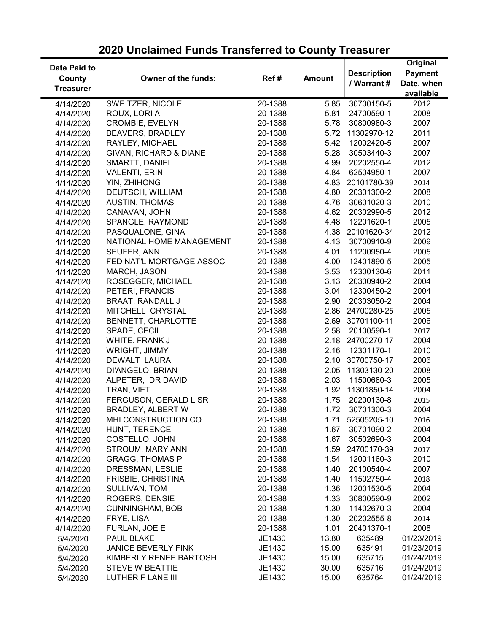| Date Paid to     |                            |         |               | <b>Description</b> | Original<br><b>Payment</b> |
|------------------|----------------------------|---------|---------------|--------------------|----------------------------|
| County           | <b>Owner of the funds:</b> | Ref#    | <b>Amount</b> | / Warrant #        | Date, when                 |
| <b>Treasurer</b> |                            |         |               |                    |                            |
|                  |                            |         |               |                    | available                  |
| 4/14/2020        | SWEITZER, NICOLE           | 20-1388 | 5.85          | 30700150-5         | 2012                       |
| 4/14/2020        | ROUX, LORI A               | 20-1388 | 5.81          | 24700590-1         | 2008                       |
| 4/14/2020        | <b>CROMBIE, EVELYN</b>     | 20-1388 | 5.78          | 30800980-3         | 2007                       |
| 4/14/2020        | <b>BEAVERS, BRADLEY</b>    | 20-1388 | 5.72          | 11302970-12        | 2011                       |
| 4/14/2020        | RAYLEY, MICHAEL            | 20-1388 | 5.42          | 12002420-5         | 2007                       |
| 4/14/2020        | GIVAN, RICHARD & DIANE     | 20-1388 | 5.28          | 30503440-3         | 2007                       |
| 4/14/2020        | SMARTT, DANIEL             | 20-1388 | 4.99          | 20202550-4         | 2012                       |
| 4/14/2020        | <b>VALENTI, ERIN</b>       | 20-1388 | 4.84          | 62504950-1         | 2007                       |
| 4/14/2020        | YIN, ZHIHONG               | 20-1388 | 4.83          | 20101780-39        | 2014                       |
| 4/14/2020        | DEUTSCH, WILLIAM           | 20-1388 | 4.80          | 20301300-2         | 2008                       |
| 4/14/2020        | <b>AUSTIN, THOMAS</b>      | 20-1388 | 4.76          | 30601020-3         | 2010                       |
| 4/14/2020        | CANAVAN, JOHN              | 20-1388 | 4.62          | 20302990-5         | 2012                       |
| 4/14/2020        | SPANGLE, RAYMOND           | 20-1388 | 4.48          | 12201620-1         | 2005                       |
| 4/14/2020        | PASQUALONE, GINA           | 20-1388 | 4.38          | 20101620-34        | 2012                       |
| 4/14/2020        | NATIONAL HOME MANAGEMENT   | 20-1388 | 4.13          | 30700910-9         | 2009                       |
| 4/14/2020        | SEUFER, ANN                | 20-1388 | 4.01          | 11200950-4         | 2005                       |
| 4/14/2020        | FED NAT'L MORTGAGE ASSOC   | 20-1388 | 4.00          | 12401890-5         | 2005                       |
| 4/14/2020        | MARCH, JASON               | 20-1388 | 3.53          | 12300130-6         | 2011                       |
| 4/14/2020        | ROSEGGER, MICHAEL          | 20-1388 | 3.13          | 20300940-2         | 2004                       |
| 4/14/2020        | PETERI, FRANCIS            | 20-1388 | 3.04          | 12300450-2         | 2004                       |
| 4/14/2020        | <b>BRAAT, RANDALL J</b>    | 20-1388 | 2.90          | 20303050-2         | 2004                       |
| 4/14/2020        | MITCHELL CRYSTAL           | 20-1388 | 2.86          | 24700280-25        | 2005                       |
| 4/14/2020        | <b>BENNETT, CHARLOTTE</b>  | 20-1388 | 2.69          | 30701100-11        | 2006                       |
| 4/14/2020        | SPADE, CECIL               | 20-1388 | 2.58          | 20100590-1         | 2017                       |
| 4/14/2020        | WHITE, FRANK J             | 20-1388 | 2.18          | 24700270-17        | 2004                       |
| 4/14/2020        | WRIGHT, JIMMY              | 20-1388 | 2.16          | 12301170-1         | 2010                       |
| 4/14/2020        | <b>DEWALT LAURA</b>        | 20-1388 | 2.10          | 30700750-17        | 2006                       |
| 4/14/2020        | DI'ANGELO, BRIAN           | 20-1388 | 2.05          | 11303130-20        | 2008                       |
| 4/14/2020        | ALPETER, DR DAVID          | 20-1388 | 2.03          | 11500680-3         | 2005                       |
| 4/14/2020        | TRAN, VIET                 | 20-1388 | 1.92          | 11301850-14        | 2004                       |
| 4/14/2020        | FERGUSON, GERALD L SR      | 20-1388 | 1.75          | 20200130-8         | 2015                       |
| 4/14/2020        | BRADLEY, ALBERT W          | 20-1388 | 1.72          | 30701300-3         | 2004                       |
| 4/14/2020        | MHI CONSTRUCTION CO        | 20-1388 |               | 1.71 52505205-10   | 2016                       |
| 4/14/2020        | HUNT, TERENCE              | 20-1388 | 1.67          | 30701090-2         | 2004                       |
| 4/14/2020        | COSTELLO, JOHN             | 20-1388 | 1.67          | 30502690-3         | 2004                       |
| 4/14/2020        | STROUM, MARY ANN           | 20-1388 | 1.59          | 24700170-39        | 2017                       |
| 4/14/2020        | <b>GRAGG, THOMAS P</b>     | 20-1388 | 1.54          | 12001160-3         | 2010                       |
| 4/14/2020        | DRESSMAN, LESLIE           | 20-1388 | 1.40          | 20100540-4         | 2007                       |
| 4/14/2020        | FRISBIE, CHRISTINA         | 20-1388 | 1.40          | 11502750-4         | 2018                       |
| 4/14/2020        | SULLIVAN, TOM              | 20-1388 | 1.36          | 12001530-5         | 2004                       |
| 4/14/2020        | ROGERS, DENSIE             | 20-1388 | 1.33          | 30800590-9         | 2002                       |
| 4/14/2020        | <b>CUNNINGHAM, BOB</b>     | 20-1388 | 1.30          | 11402670-3         | 2004                       |
| 4/14/2020        | FRYE, LISA                 | 20-1388 | 1.30          | 20202555-8         | 2014                       |
| 4/14/2020        | FURLAN, JOE E              | 20-1388 | 1.01          | 20401370-1         | 2008                       |
| 5/4/2020         | PAUL BLAKE                 | JE1430  | 13.80         | 635489             | 01/23/2019                 |
| 5/4/2020         | <b>JANICE BEVERLY FINK</b> | JE1430  | 15.00         | 635491             | 01/23/2019                 |
| 5/4/2020         | KIMBERLY RENEE BARTOSH     | JE1430  | 15.00         | 635715             | 01/24/2019                 |
| 5/4/2020         | <b>STEVE W BEATTIE</b>     | JE1430  | 30.00         | 635716             | 01/24/2019                 |
| 5/4/2020         | LUTHER F LANE III          | JE1430  | 15.00         | 635764             | 01/24/2019                 |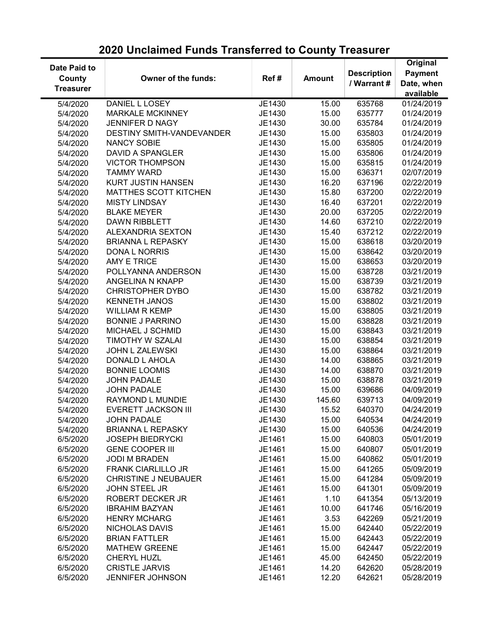| Date Paid to     |                             |        |               |                    | Original       |
|------------------|-----------------------------|--------|---------------|--------------------|----------------|
|                  |                             |        |               | <b>Description</b> | <b>Payment</b> |
| County           | Owner of the funds:         | Ref#   | <b>Amount</b> | / Warrant #        | Date, when     |
| <b>Treasurer</b> |                             |        |               |                    | available      |
| 5/4/2020         | DANIEL L LOSEY              | JE1430 | 15.00         | 635768             | 01/24/2019     |
| 5/4/2020         | <b>MARKALE MCKINNEY</b>     | JE1430 | 15.00         | 635777             | 01/24/2019     |
| 5/4/2020         | <b>JENNIFER D NAGY</b>      | JE1430 | 30.00         | 635784             | 01/24/2019     |
| 5/4/2020         | DESTINY SMITH-VANDEVANDER   | JE1430 | 15.00         | 635803             | 01/24/2019     |
| 5/4/2020         | <b>NANCY SOBIE</b>          | JE1430 | 15.00         | 635805             | 01/24/2019     |
| 5/4/2020         | <b>DAVID A SPANGLER</b>     | JE1430 | 15.00         | 635806             | 01/24/2019     |
| 5/4/2020         | <b>VICTOR THOMPSON</b>      | JE1430 | 15.00         | 635815             | 01/24/2019     |
| 5/4/2020         | <b>TAMMY WARD</b>           | JE1430 | 15.00         | 636371             | 02/07/2019     |
| 5/4/2020         | <b>KURT JUSTIN HANSEN</b>   | JE1430 | 16.20         | 637196             | 02/22/2019     |
| 5/4/2020         | MATTHES SCOTT KITCHEN       | JE1430 | 15.80         | 637200             | 02/22/2019     |
| 5/4/2020         | <b>MISTY LINDSAY</b>        | JE1430 | 16.40         | 637201             | 02/22/2019     |
| 5/4/2020         | <b>BLAKE MEYER</b>          | JE1430 | 20.00         | 637205             | 02/22/2019     |
| 5/4/2020         | <b>DAWN RIBBLETT</b>        | JE1430 | 14.60         | 637210             | 02/22/2019     |
| 5/4/2020         | <b>ALEXANDRIA SEXTON</b>    | JE1430 | 15.40         | 637212             | 02/22/2019     |
| 5/4/2020         | <b>BRIANNA L REPASKY</b>    | JE1430 | 15.00         | 638618             | 03/20/2019     |
| 5/4/2020         | <b>DONA L NORRIS</b>        | JE1430 | 15.00         | 638642             | 03/20/2019     |
| 5/4/2020         | <b>AMY E TRICE</b>          | JE1430 | 15.00         | 638653             | 03/20/2019     |
| 5/4/2020         | POLLYANNA ANDERSON          | JE1430 | 15.00         | 638728             | 03/21/2019     |
| 5/4/2020         | ANGELINA N KNAPP            | JE1430 | 15.00         | 638739             | 03/21/2019     |
| 5/4/2020         | <b>CHRISTOPHER DYBO</b>     | JE1430 | 15.00         | 638782             | 03/21/2019     |
| 5/4/2020         | <b>KENNETH JANOS</b>        | JE1430 | 15.00         | 638802             | 03/21/2019     |
| 5/4/2020         | <b>WILLIAM R KEMP</b>       | JE1430 | 15.00         | 638805             | 03/21/2019     |
|                  | <b>BONNIE J PARRINO</b>     | JE1430 | 15.00         | 638828             | 03/21/2019     |
| 5/4/2020         | MICHAEL J SCHMID            | JE1430 | 15.00         | 638843             | 03/21/2019     |
| 5/4/2020         | TIMOTHY W SZALAI            | JE1430 | 15.00         | 638854             | 03/21/2019     |
| 5/4/2020         |                             |        |               |                    |                |
| 5/4/2020         | JOHN L ZALEWSKI             | JE1430 | 15.00         | 638864             | 03/21/2019     |
| 5/4/2020         | DONALD L AHOLA              | JE1430 | 14.00         | 638865             | 03/21/2019     |
| 5/4/2020         | <b>BONNIE LOOMIS</b>        | JE1430 | 14.00         | 638870             | 03/21/2019     |
| 5/4/2020         | <b>JOHN PADALE</b>          | JE1430 | 15.00         | 638878             | 03/21/2019     |
| 5/4/2020         | <b>JOHN PADALE</b>          | JE1430 | 15.00         | 639686             | 04/09/2019     |
| 5/4/2020         | RAYMOND L MUNDIE            | JE1430 | 145.60        | 639713             | 04/09/2019     |
| 5/4/2020         | <b>EVERETT JACKSON III</b>  | JE1430 | 15.52         | 640370             | 04/24/2019     |
| 5/4/2020         | <b>JOHN PADALE</b>          | JE1430 | 15.00         | 640534             | 04/24/2019     |
| 5/4/2020         | <b>BRIANNA L REPASKY</b>    | JE1430 | 15.00         | 640536             | 04/24/2019     |
| 6/5/2020         | <b>JOSEPH BIEDRYCKI</b>     | JE1461 | 15.00         | 640803             | 05/01/2019     |
| 6/5/2020         | <b>GENE COOPER III</b>      | JE1461 | 15.00         | 640807             | 05/01/2019     |
| 6/5/2020         | <b>JODI M BRADEN</b>        | JE1461 | 15.00         | 640862             | 05/01/2019     |
| 6/5/2020         | <b>FRANK CIARLILLO JR</b>   | JE1461 | 15.00         | 641265             | 05/09/2019     |
| 6/5/2020         | <b>CHRISTINE J NEUBAUER</b> | JE1461 | 15.00         | 641284             | 05/09/2019     |
| 6/5/2020         | <b>JOHN STEEL JR</b>        | JE1461 | 15.00         | 641301             | 05/09/2019     |
| 6/5/2020         | ROBERT DECKER JR            | JE1461 | 1.10          | 641354             | 05/13/2019     |
| 6/5/2020         | <b>IBRAHIM BAZYAN</b>       | JE1461 | 10.00         | 641746             | 05/16/2019     |
| 6/5/2020         | <b>HENRY MCHARG</b>         | JE1461 | 3.53          | 642269             | 05/21/2019     |
| 6/5/2020         | NICHOLAS DAVIS              | JE1461 | 15.00         | 642440             | 05/22/2019     |
| 6/5/2020         | <b>BRIAN FATTLER</b>        | JE1461 | 15.00         | 642443             | 05/22/2019     |
| 6/5/2020         | <b>MATHEW GREENE</b>        | JE1461 | 15.00         | 642447             | 05/22/2019     |
| 6/5/2020         | CHERYL HUZL                 | JE1461 | 45.00         | 642450             | 05/22/2019     |
| 6/5/2020         | <b>CRISTLE JARVIS</b>       | JE1461 | 14.20         | 642620             | 05/28/2019     |
| 6/5/2020         | <b>JENNIFER JOHNSON</b>     | JE1461 | 12.20         | 642621             | 05/28/2019     |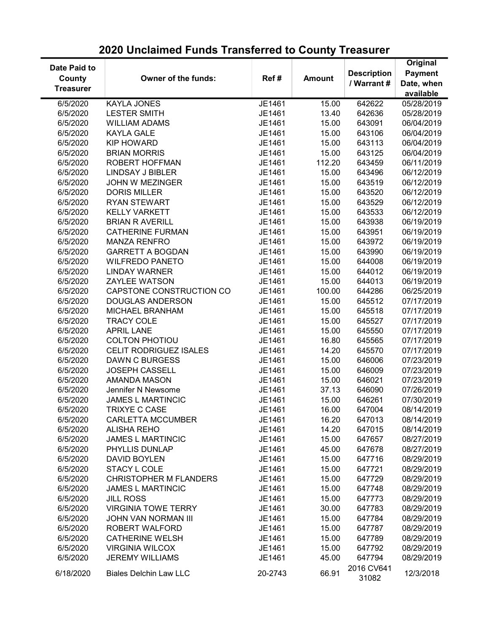| Date Paid to<br><b>Payment</b><br><b>Description</b><br><b>County</b><br>Owner of the funds:<br>Ref#<br><b>Amount</b><br>/ Warrant #<br>Date, when<br><b>Treasurer</b><br>available<br>6/5/2020<br><b>KAYLA JONES</b><br>JE1461<br>15.00<br>642622<br>05/28/2019<br>642636<br>6/5/2020<br><b>LESTER SMITH</b><br>JE1461<br>13.40<br>05/28/2019<br>6/5/2020<br><b>WILLIAM ADAMS</b><br>JE1461<br>15.00<br>643091<br>06/04/2019<br>15.00<br>6/5/2020<br><b>KAYLA GALE</b><br>JE1461<br>643106<br>06/04/2019<br><b>KIP HOWARD</b><br>JE1461<br>15.00<br>06/04/2019<br>6/5/2020<br>643113<br>15.00<br>6/5/2020<br><b>BRIAN MORRIS</b><br>JE1461<br>643125<br>06/04/2019<br>112.20<br>6/5/2020<br>ROBERT HOFFMAN<br>JE1461<br>643459<br>06/11/2019<br>6/5/2020<br><b>LINDSAY J BIBLER</b><br>JE1461<br>15.00<br>643496<br>06/12/2019<br>643519<br>6/5/2020<br><b>JOHN W MEZINGER</b><br>JE1461<br>15.00<br>06/12/2019<br>6/5/2020<br><b>DORIS MILLER</b><br>JE1461<br>15.00<br>643520<br>06/12/2019<br>6/5/2020<br><b>RYAN STEWART</b><br>JE1461<br>15.00<br>643529<br>06/12/2019<br>6/5/2020<br><b>KELLY VARKETT</b><br>JE1461<br>15.00<br>643533<br>06/12/2019<br>6/5/2020<br><b>BRIAN R AVERILL</b><br>JE1461<br>15.00<br>643938<br>06/19/2019<br>6/5/2020<br><b>CATHERINE FURMAN</b><br>JE1461<br>15.00<br>643951<br>06/19/2019<br>6/5/2020<br><b>MANZA RENFRO</b><br>JE1461<br>15.00<br>643972<br>06/19/2019<br>6/5/2020<br><b>GARRETT A BOGDAN</b><br>JE1461<br>15.00<br>643990<br>06/19/2019<br>6/5/2020<br><b>WILFREDO PANETO</b><br>JE1461<br>15.00<br>644008<br>06/19/2019<br>6/5/2020<br><b>LINDAY WARNER</b><br>JE1461<br>15.00<br>644012<br>06/19/2019<br>6/5/2020<br><b>ZAYLEE WATSON</b><br>JE1461<br>15.00<br>644013<br>06/19/2019<br>CAPSTONE CONSTRUCTION CO<br>100.00<br>6/5/2020<br>JE1461<br>644286<br>06/25/2019<br>6/5/2020<br><b>DOUGLAS ANDERSON</b><br>JE1461<br>15.00<br>645512<br>07/17/2019<br>6/5/2020<br>MICHAEL BRANHAM<br>JE1461<br>15.00<br>645518<br>07/17/2019<br>6/5/2020<br><b>TRACY COLE</b><br>JE1461<br>15.00<br>645527<br>07/17/2019<br>JE1461<br>6/5/2020<br><b>APRIL LANE</b><br>15.00<br>645550<br>07/17/2019<br>6/5/2020<br><b>COLTON PHOTIOU</b><br>JE1461<br>16.80<br>645565<br>07/17/2019<br>6/5/2020<br><b>CELIT RODRIGUEZ ISALES</b><br>JE1461<br>14.20<br>645570<br>07/17/2019<br>6/5/2020<br><b>DAWN C BURGESS</b><br>JE1461<br>15.00<br>646006<br>07/23/2019<br>6/5/2020<br><b>JOSEPH CASSELL</b><br>JE1461<br>15.00<br>646009<br>07/23/2019<br>6/5/2020<br><b>AMANDA MASON</b><br>JE1461<br>15.00<br>646021<br>07/23/2019<br>6/5/2020<br>JE1461<br>37.13<br>646090<br>07/26/2019<br>Jennifer N Newsome<br>6/5/2020<br>JE1461<br>15.00<br>646261<br>07/30/2019<br><b>JAMES L MARTINCIC</b><br>TRIXYE C CASE<br>6/5/2020<br>JE1461<br>16.00<br>647004<br>08/14/2019<br>6/5/2020<br><b>CARLETTA MCCUMBER</b><br>16.20<br>08/14/2019<br>JE1461<br>647013<br>6/5/2020<br>14.20<br><b>ALISHA REHO</b><br>JE1461<br>647015<br>08/14/2019<br>6/5/2020<br><b>JAMES L MARTINCIC</b><br>15.00<br>JE1461<br>647657<br>08/27/2019<br>6/5/2020<br>PHYLLIS DUNLAP<br>JE1461<br>45.00<br>647678<br>08/27/2019<br>6/5/2020<br>DAVID BOYLEN<br>JE1461<br>15.00<br>647716<br>08/29/2019<br>15.00<br>6/5/2020<br>STACY L COLE<br>JE1461<br>647721<br>08/29/2019<br>6/5/2020<br><b>CHRISTOPHER M FLANDERS</b><br>JE1461<br>08/29/2019<br>15.00<br>647729<br><b>JAMES L MARTINCIC</b><br>6/5/2020<br>JE1461<br>15.00<br>647748<br>08/29/2019<br>6/5/2020<br><b>JILL ROSS</b><br>JE1461<br>15.00<br>647773<br>08/29/2019<br><b>VIRGINIA TOWE TERRY</b><br>30.00<br>6/5/2020<br>JE1461<br>647783<br>08/29/2019<br><b>JOHN VAN NORMAN III</b><br>JE1461<br>15.00<br>6/5/2020<br>647784<br>08/29/2019<br>ROBERT WALFORD<br>6/5/2020<br>JE1461<br>15.00<br>647787<br>08/29/2019<br>6/5/2020<br><b>CATHERINE WELSH</b><br>JE1461<br>15.00<br>647789<br>08/29/2019<br>15.00<br>6/5/2020<br><b>VIRGINIA WILCOX</b><br>JE1461<br>647792<br>08/29/2019<br><b>JEREMY WILLIAMS</b><br>6/5/2020<br>JE1461<br>45.00<br>647794<br>08/29/2019<br>2016 CV641<br>66.91<br>12/3/2018<br>6/18/2020<br><b>Biales Delchin Law LLC</b><br>20-2743 |  |  |       |          |
|--------------------------------------------------------------------------------------------------------------------------------------------------------------------------------------------------------------------------------------------------------------------------------------------------------------------------------------------------------------------------------------------------------------------------------------------------------------------------------------------------------------------------------------------------------------------------------------------------------------------------------------------------------------------------------------------------------------------------------------------------------------------------------------------------------------------------------------------------------------------------------------------------------------------------------------------------------------------------------------------------------------------------------------------------------------------------------------------------------------------------------------------------------------------------------------------------------------------------------------------------------------------------------------------------------------------------------------------------------------------------------------------------------------------------------------------------------------------------------------------------------------------------------------------------------------------------------------------------------------------------------------------------------------------------------------------------------------------------------------------------------------------------------------------------------------------------------------------------------------------------------------------------------------------------------------------------------------------------------------------------------------------------------------------------------------------------------------------------------------------------------------------------------------------------------------------------------------------------------------------------------------------------------------------------------------------------------------------------------------------------------------------------------------------------------------------------------------------------------------------------------------------------------------------------------------------------------------------------------------------------------------------------------------------------------------------------------------------------------------------------------------------------------------------------------------------------------------------------------------------------------------------------------------------------------------------------------------------------------------------------------------------------------------------------------------------------------------------------------------------------------------------------------------------------------------------------------------------------------------------------------------------------------------------------------------------------------------------------------------------------------------------------------------------------------------------------------------------------------------------------------------------------------------------------------------------------------------------------------------------------------------------------------------------------------------------------------------------------------------------------------------------------------------------------------------------------------------------------------------------------------------------------------------------------------------------------------------------------------------------------------------------------------------------------------------------------------------------------------------------------------------------------------|--|--|-------|----------|
|                                                                                                                                                                                                                                                                                                                                                                                                                                                                                                                                                                                                                                                                                                                                                                                                                                                                                                                                                                                                                                                                                                                                                                                                                                                                                                                                                                                                                                                                                                                                                                                                                                                                                                                                                                                                                                                                                                                                                                                                                                                                                                                                                                                                                                                                                                                                                                                                                                                                                                                                                                                                                                                                                                                                                                                                                                                                                                                                                                                                                                                                                                                                                                                                                                                                                                                                                                                                                                                                                                                                                                                                                                                                                                                                                                                                                                                                                                                                                                                                                                                                                                                                                        |  |  |       | Original |
|                                                                                                                                                                                                                                                                                                                                                                                                                                                                                                                                                                                                                                                                                                                                                                                                                                                                                                                                                                                                                                                                                                                                                                                                                                                                                                                                                                                                                                                                                                                                                                                                                                                                                                                                                                                                                                                                                                                                                                                                                                                                                                                                                                                                                                                                                                                                                                                                                                                                                                                                                                                                                                                                                                                                                                                                                                                                                                                                                                                                                                                                                                                                                                                                                                                                                                                                                                                                                                                                                                                                                                                                                                                                                                                                                                                                                                                                                                                                                                                                                                                                                                                                                        |  |  |       |          |
|                                                                                                                                                                                                                                                                                                                                                                                                                                                                                                                                                                                                                                                                                                                                                                                                                                                                                                                                                                                                                                                                                                                                                                                                                                                                                                                                                                                                                                                                                                                                                                                                                                                                                                                                                                                                                                                                                                                                                                                                                                                                                                                                                                                                                                                                                                                                                                                                                                                                                                                                                                                                                                                                                                                                                                                                                                                                                                                                                                                                                                                                                                                                                                                                                                                                                                                                                                                                                                                                                                                                                                                                                                                                                                                                                                                                                                                                                                                                                                                                                                                                                                                                                        |  |  |       |          |
|                                                                                                                                                                                                                                                                                                                                                                                                                                                                                                                                                                                                                                                                                                                                                                                                                                                                                                                                                                                                                                                                                                                                                                                                                                                                                                                                                                                                                                                                                                                                                                                                                                                                                                                                                                                                                                                                                                                                                                                                                                                                                                                                                                                                                                                                                                                                                                                                                                                                                                                                                                                                                                                                                                                                                                                                                                                                                                                                                                                                                                                                                                                                                                                                                                                                                                                                                                                                                                                                                                                                                                                                                                                                                                                                                                                                                                                                                                                                                                                                                                                                                                                                                        |  |  |       |          |
|                                                                                                                                                                                                                                                                                                                                                                                                                                                                                                                                                                                                                                                                                                                                                                                                                                                                                                                                                                                                                                                                                                                                                                                                                                                                                                                                                                                                                                                                                                                                                                                                                                                                                                                                                                                                                                                                                                                                                                                                                                                                                                                                                                                                                                                                                                                                                                                                                                                                                                                                                                                                                                                                                                                                                                                                                                                                                                                                                                                                                                                                                                                                                                                                                                                                                                                                                                                                                                                                                                                                                                                                                                                                                                                                                                                                                                                                                                                                                                                                                                                                                                                                                        |  |  |       |          |
|                                                                                                                                                                                                                                                                                                                                                                                                                                                                                                                                                                                                                                                                                                                                                                                                                                                                                                                                                                                                                                                                                                                                                                                                                                                                                                                                                                                                                                                                                                                                                                                                                                                                                                                                                                                                                                                                                                                                                                                                                                                                                                                                                                                                                                                                                                                                                                                                                                                                                                                                                                                                                                                                                                                                                                                                                                                                                                                                                                                                                                                                                                                                                                                                                                                                                                                                                                                                                                                                                                                                                                                                                                                                                                                                                                                                                                                                                                                                                                                                                                                                                                                                                        |  |  |       |          |
|                                                                                                                                                                                                                                                                                                                                                                                                                                                                                                                                                                                                                                                                                                                                                                                                                                                                                                                                                                                                                                                                                                                                                                                                                                                                                                                                                                                                                                                                                                                                                                                                                                                                                                                                                                                                                                                                                                                                                                                                                                                                                                                                                                                                                                                                                                                                                                                                                                                                                                                                                                                                                                                                                                                                                                                                                                                                                                                                                                                                                                                                                                                                                                                                                                                                                                                                                                                                                                                                                                                                                                                                                                                                                                                                                                                                                                                                                                                                                                                                                                                                                                                                                        |  |  |       |          |
|                                                                                                                                                                                                                                                                                                                                                                                                                                                                                                                                                                                                                                                                                                                                                                                                                                                                                                                                                                                                                                                                                                                                                                                                                                                                                                                                                                                                                                                                                                                                                                                                                                                                                                                                                                                                                                                                                                                                                                                                                                                                                                                                                                                                                                                                                                                                                                                                                                                                                                                                                                                                                                                                                                                                                                                                                                                                                                                                                                                                                                                                                                                                                                                                                                                                                                                                                                                                                                                                                                                                                                                                                                                                                                                                                                                                                                                                                                                                                                                                                                                                                                                                                        |  |  |       |          |
|                                                                                                                                                                                                                                                                                                                                                                                                                                                                                                                                                                                                                                                                                                                                                                                                                                                                                                                                                                                                                                                                                                                                                                                                                                                                                                                                                                                                                                                                                                                                                                                                                                                                                                                                                                                                                                                                                                                                                                                                                                                                                                                                                                                                                                                                                                                                                                                                                                                                                                                                                                                                                                                                                                                                                                                                                                                                                                                                                                                                                                                                                                                                                                                                                                                                                                                                                                                                                                                                                                                                                                                                                                                                                                                                                                                                                                                                                                                                                                                                                                                                                                                                                        |  |  |       |          |
|                                                                                                                                                                                                                                                                                                                                                                                                                                                                                                                                                                                                                                                                                                                                                                                                                                                                                                                                                                                                                                                                                                                                                                                                                                                                                                                                                                                                                                                                                                                                                                                                                                                                                                                                                                                                                                                                                                                                                                                                                                                                                                                                                                                                                                                                                                                                                                                                                                                                                                                                                                                                                                                                                                                                                                                                                                                                                                                                                                                                                                                                                                                                                                                                                                                                                                                                                                                                                                                                                                                                                                                                                                                                                                                                                                                                                                                                                                                                                                                                                                                                                                                                                        |  |  |       |          |
|                                                                                                                                                                                                                                                                                                                                                                                                                                                                                                                                                                                                                                                                                                                                                                                                                                                                                                                                                                                                                                                                                                                                                                                                                                                                                                                                                                                                                                                                                                                                                                                                                                                                                                                                                                                                                                                                                                                                                                                                                                                                                                                                                                                                                                                                                                                                                                                                                                                                                                                                                                                                                                                                                                                                                                                                                                                                                                                                                                                                                                                                                                                                                                                                                                                                                                                                                                                                                                                                                                                                                                                                                                                                                                                                                                                                                                                                                                                                                                                                                                                                                                                                                        |  |  |       |          |
|                                                                                                                                                                                                                                                                                                                                                                                                                                                                                                                                                                                                                                                                                                                                                                                                                                                                                                                                                                                                                                                                                                                                                                                                                                                                                                                                                                                                                                                                                                                                                                                                                                                                                                                                                                                                                                                                                                                                                                                                                                                                                                                                                                                                                                                                                                                                                                                                                                                                                                                                                                                                                                                                                                                                                                                                                                                                                                                                                                                                                                                                                                                                                                                                                                                                                                                                                                                                                                                                                                                                                                                                                                                                                                                                                                                                                                                                                                                                                                                                                                                                                                                                                        |  |  |       |          |
|                                                                                                                                                                                                                                                                                                                                                                                                                                                                                                                                                                                                                                                                                                                                                                                                                                                                                                                                                                                                                                                                                                                                                                                                                                                                                                                                                                                                                                                                                                                                                                                                                                                                                                                                                                                                                                                                                                                                                                                                                                                                                                                                                                                                                                                                                                                                                                                                                                                                                                                                                                                                                                                                                                                                                                                                                                                                                                                                                                                                                                                                                                                                                                                                                                                                                                                                                                                                                                                                                                                                                                                                                                                                                                                                                                                                                                                                                                                                                                                                                                                                                                                                                        |  |  |       |          |
|                                                                                                                                                                                                                                                                                                                                                                                                                                                                                                                                                                                                                                                                                                                                                                                                                                                                                                                                                                                                                                                                                                                                                                                                                                                                                                                                                                                                                                                                                                                                                                                                                                                                                                                                                                                                                                                                                                                                                                                                                                                                                                                                                                                                                                                                                                                                                                                                                                                                                                                                                                                                                                                                                                                                                                                                                                                                                                                                                                                                                                                                                                                                                                                                                                                                                                                                                                                                                                                                                                                                                                                                                                                                                                                                                                                                                                                                                                                                                                                                                                                                                                                                                        |  |  |       |          |
|                                                                                                                                                                                                                                                                                                                                                                                                                                                                                                                                                                                                                                                                                                                                                                                                                                                                                                                                                                                                                                                                                                                                                                                                                                                                                                                                                                                                                                                                                                                                                                                                                                                                                                                                                                                                                                                                                                                                                                                                                                                                                                                                                                                                                                                                                                                                                                                                                                                                                                                                                                                                                                                                                                                                                                                                                                                                                                                                                                                                                                                                                                                                                                                                                                                                                                                                                                                                                                                                                                                                                                                                                                                                                                                                                                                                                                                                                                                                                                                                                                                                                                                                                        |  |  |       |          |
|                                                                                                                                                                                                                                                                                                                                                                                                                                                                                                                                                                                                                                                                                                                                                                                                                                                                                                                                                                                                                                                                                                                                                                                                                                                                                                                                                                                                                                                                                                                                                                                                                                                                                                                                                                                                                                                                                                                                                                                                                                                                                                                                                                                                                                                                                                                                                                                                                                                                                                                                                                                                                                                                                                                                                                                                                                                                                                                                                                                                                                                                                                                                                                                                                                                                                                                                                                                                                                                                                                                                                                                                                                                                                                                                                                                                                                                                                                                                                                                                                                                                                                                                                        |  |  |       |          |
|                                                                                                                                                                                                                                                                                                                                                                                                                                                                                                                                                                                                                                                                                                                                                                                                                                                                                                                                                                                                                                                                                                                                                                                                                                                                                                                                                                                                                                                                                                                                                                                                                                                                                                                                                                                                                                                                                                                                                                                                                                                                                                                                                                                                                                                                                                                                                                                                                                                                                                                                                                                                                                                                                                                                                                                                                                                                                                                                                                                                                                                                                                                                                                                                                                                                                                                                                                                                                                                                                                                                                                                                                                                                                                                                                                                                                                                                                                                                                                                                                                                                                                                                                        |  |  |       |          |
|                                                                                                                                                                                                                                                                                                                                                                                                                                                                                                                                                                                                                                                                                                                                                                                                                                                                                                                                                                                                                                                                                                                                                                                                                                                                                                                                                                                                                                                                                                                                                                                                                                                                                                                                                                                                                                                                                                                                                                                                                                                                                                                                                                                                                                                                                                                                                                                                                                                                                                                                                                                                                                                                                                                                                                                                                                                                                                                                                                                                                                                                                                                                                                                                                                                                                                                                                                                                                                                                                                                                                                                                                                                                                                                                                                                                                                                                                                                                                                                                                                                                                                                                                        |  |  |       |          |
|                                                                                                                                                                                                                                                                                                                                                                                                                                                                                                                                                                                                                                                                                                                                                                                                                                                                                                                                                                                                                                                                                                                                                                                                                                                                                                                                                                                                                                                                                                                                                                                                                                                                                                                                                                                                                                                                                                                                                                                                                                                                                                                                                                                                                                                                                                                                                                                                                                                                                                                                                                                                                                                                                                                                                                                                                                                                                                                                                                                                                                                                                                                                                                                                                                                                                                                                                                                                                                                                                                                                                                                                                                                                                                                                                                                                                                                                                                                                                                                                                                                                                                                                                        |  |  |       |          |
|                                                                                                                                                                                                                                                                                                                                                                                                                                                                                                                                                                                                                                                                                                                                                                                                                                                                                                                                                                                                                                                                                                                                                                                                                                                                                                                                                                                                                                                                                                                                                                                                                                                                                                                                                                                                                                                                                                                                                                                                                                                                                                                                                                                                                                                                                                                                                                                                                                                                                                                                                                                                                                                                                                                                                                                                                                                                                                                                                                                                                                                                                                                                                                                                                                                                                                                                                                                                                                                                                                                                                                                                                                                                                                                                                                                                                                                                                                                                                                                                                                                                                                                                                        |  |  |       |          |
|                                                                                                                                                                                                                                                                                                                                                                                                                                                                                                                                                                                                                                                                                                                                                                                                                                                                                                                                                                                                                                                                                                                                                                                                                                                                                                                                                                                                                                                                                                                                                                                                                                                                                                                                                                                                                                                                                                                                                                                                                                                                                                                                                                                                                                                                                                                                                                                                                                                                                                                                                                                                                                                                                                                                                                                                                                                                                                                                                                                                                                                                                                                                                                                                                                                                                                                                                                                                                                                                                                                                                                                                                                                                                                                                                                                                                                                                                                                                                                                                                                                                                                                                                        |  |  |       |          |
|                                                                                                                                                                                                                                                                                                                                                                                                                                                                                                                                                                                                                                                                                                                                                                                                                                                                                                                                                                                                                                                                                                                                                                                                                                                                                                                                                                                                                                                                                                                                                                                                                                                                                                                                                                                                                                                                                                                                                                                                                                                                                                                                                                                                                                                                                                                                                                                                                                                                                                                                                                                                                                                                                                                                                                                                                                                                                                                                                                                                                                                                                                                                                                                                                                                                                                                                                                                                                                                                                                                                                                                                                                                                                                                                                                                                                                                                                                                                                                                                                                                                                                                                                        |  |  |       |          |
|                                                                                                                                                                                                                                                                                                                                                                                                                                                                                                                                                                                                                                                                                                                                                                                                                                                                                                                                                                                                                                                                                                                                                                                                                                                                                                                                                                                                                                                                                                                                                                                                                                                                                                                                                                                                                                                                                                                                                                                                                                                                                                                                                                                                                                                                                                                                                                                                                                                                                                                                                                                                                                                                                                                                                                                                                                                                                                                                                                                                                                                                                                                                                                                                                                                                                                                                                                                                                                                                                                                                                                                                                                                                                                                                                                                                                                                                                                                                                                                                                                                                                                                                                        |  |  |       |          |
|                                                                                                                                                                                                                                                                                                                                                                                                                                                                                                                                                                                                                                                                                                                                                                                                                                                                                                                                                                                                                                                                                                                                                                                                                                                                                                                                                                                                                                                                                                                                                                                                                                                                                                                                                                                                                                                                                                                                                                                                                                                                                                                                                                                                                                                                                                                                                                                                                                                                                                                                                                                                                                                                                                                                                                                                                                                                                                                                                                                                                                                                                                                                                                                                                                                                                                                                                                                                                                                                                                                                                                                                                                                                                                                                                                                                                                                                                                                                                                                                                                                                                                                                                        |  |  |       |          |
|                                                                                                                                                                                                                                                                                                                                                                                                                                                                                                                                                                                                                                                                                                                                                                                                                                                                                                                                                                                                                                                                                                                                                                                                                                                                                                                                                                                                                                                                                                                                                                                                                                                                                                                                                                                                                                                                                                                                                                                                                                                                                                                                                                                                                                                                                                                                                                                                                                                                                                                                                                                                                                                                                                                                                                                                                                                                                                                                                                                                                                                                                                                                                                                                                                                                                                                                                                                                                                                                                                                                                                                                                                                                                                                                                                                                                                                                                                                                                                                                                                                                                                                                                        |  |  |       |          |
|                                                                                                                                                                                                                                                                                                                                                                                                                                                                                                                                                                                                                                                                                                                                                                                                                                                                                                                                                                                                                                                                                                                                                                                                                                                                                                                                                                                                                                                                                                                                                                                                                                                                                                                                                                                                                                                                                                                                                                                                                                                                                                                                                                                                                                                                                                                                                                                                                                                                                                                                                                                                                                                                                                                                                                                                                                                                                                                                                                                                                                                                                                                                                                                                                                                                                                                                                                                                                                                                                                                                                                                                                                                                                                                                                                                                                                                                                                                                                                                                                                                                                                                                                        |  |  |       |          |
|                                                                                                                                                                                                                                                                                                                                                                                                                                                                                                                                                                                                                                                                                                                                                                                                                                                                                                                                                                                                                                                                                                                                                                                                                                                                                                                                                                                                                                                                                                                                                                                                                                                                                                                                                                                                                                                                                                                                                                                                                                                                                                                                                                                                                                                                                                                                                                                                                                                                                                                                                                                                                                                                                                                                                                                                                                                                                                                                                                                                                                                                                                                                                                                                                                                                                                                                                                                                                                                                                                                                                                                                                                                                                                                                                                                                                                                                                                                                                                                                                                                                                                                                                        |  |  |       |          |
|                                                                                                                                                                                                                                                                                                                                                                                                                                                                                                                                                                                                                                                                                                                                                                                                                                                                                                                                                                                                                                                                                                                                                                                                                                                                                                                                                                                                                                                                                                                                                                                                                                                                                                                                                                                                                                                                                                                                                                                                                                                                                                                                                                                                                                                                                                                                                                                                                                                                                                                                                                                                                                                                                                                                                                                                                                                                                                                                                                                                                                                                                                                                                                                                                                                                                                                                                                                                                                                                                                                                                                                                                                                                                                                                                                                                                                                                                                                                                                                                                                                                                                                                                        |  |  |       |          |
|                                                                                                                                                                                                                                                                                                                                                                                                                                                                                                                                                                                                                                                                                                                                                                                                                                                                                                                                                                                                                                                                                                                                                                                                                                                                                                                                                                                                                                                                                                                                                                                                                                                                                                                                                                                                                                                                                                                                                                                                                                                                                                                                                                                                                                                                                                                                                                                                                                                                                                                                                                                                                                                                                                                                                                                                                                                                                                                                                                                                                                                                                                                                                                                                                                                                                                                                                                                                                                                                                                                                                                                                                                                                                                                                                                                                                                                                                                                                                                                                                                                                                                                                                        |  |  |       |          |
|                                                                                                                                                                                                                                                                                                                                                                                                                                                                                                                                                                                                                                                                                                                                                                                                                                                                                                                                                                                                                                                                                                                                                                                                                                                                                                                                                                                                                                                                                                                                                                                                                                                                                                                                                                                                                                                                                                                                                                                                                                                                                                                                                                                                                                                                                                                                                                                                                                                                                                                                                                                                                                                                                                                                                                                                                                                                                                                                                                                                                                                                                                                                                                                                                                                                                                                                                                                                                                                                                                                                                                                                                                                                                                                                                                                                                                                                                                                                                                                                                                                                                                                                                        |  |  |       |          |
|                                                                                                                                                                                                                                                                                                                                                                                                                                                                                                                                                                                                                                                                                                                                                                                                                                                                                                                                                                                                                                                                                                                                                                                                                                                                                                                                                                                                                                                                                                                                                                                                                                                                                                                                                                                                                                                                                                                                                                                                                                                                                                                                                                                                                                                                                                                                                                                                                                                                                                                                                                                                                                                                                                                                                                                                                                                                                                                                                                                                                                                                                                                                                                                                                                                                                                                                                                                                                                                                                                                                                                                                                                                                                                                                                                                                                                                                                                                                                                                                                                                                                                                                                        |  |  |       |          |
|                                                                                                                                                                                                                                                                                                                                                                                                                                                                                                                                                                                                                                                                                                                                                                                                                                                                                                                                                                                                                                                                                                                                                                                                                                                                                                                                                                                                                                                                                                                                                                                                                                                                                                                                                                                                                                                                                                                                                                                                                                                                                                                                                                                                                                                                                                                                                                                                                                                                                                                                                                                                                                                                                                                                                                                                                                                                                                                                                                                                                                                                                                                                                                                                                                                                                                                                                                                                                                                                                                                                                                                                                                                                                                                                                                                                                                                                                                                                                                                                                                                                                                                                                        |  |  |       |          |
|                                                                                                                                                                                                                                                                                                                                                                                                                                                                                                                                                                                                                                                                                                                                                                                                                                                                                                                                                                                                                                                                                                                                                                                                                                                                                                                                                                                                                                                                                                                                                                                                                                                                                                                                                                                                                                                                                                                                                                                                                                                                                                                                                                                                                                                                                                                                                                                                                                                                                                                                                                                                                                                                                                                                                                                                                                                                                                                                                                                                                                                                                                                                                                                                                                                                                                                                                                                                                                                                                                                                                                                                                                                                                                                                                                                                                                                                                                                                                                                                                                                                                                                                                        |  |  |       |          |
|                                                                                                                                                                                                                                                                                                                                                                                                                                                                                                                                                                                                                                                                                                                                                                                                                                                                                                                                                                                                                                                                                                                                                                                                                                                                                                                                                                                                                                                                                                                                                                                                                                                                                                                                                                                                                                                                                                                                                                                                                                                                                                                                                                                                                                                                                                                                                                                                                                                                                                                                                                                                                                                                                                                                                                                                                                                                                                                                                                                                                                                                                                                                                                                                                                                                                                                                                                                                                                                                                                                                                                                                                                                                                                                                                                                                                                                                                                                                                                                                                                                                                                                                                        |  |  |       |          |
|                                                                                                                                                                                                                                                                                                                                                                                                                                                                                                                                                                                                                                                                                                                                                                                                                                                                                                                                                                                                                                                                                                                                                                                                                                                                                                                                                                                                                                                                                                                                                                                                                                                                                                                                                                                                                                                                                                                                                                                                                                                                                                                                                                                                                                                                                                                                                                                                                                                                                                                                                                                                                                                                                                                                                                                                                                                                                                                                                                                                                                                                                                                                                                                                                                                                                                                                                                                                                                                                                                                                                                                                                                                                                                                                                                                                                                                                                                                                                                                                                                                                                                                                                        |  |  |       |          |
|                                                                                                                                                                                                                                                                                                                                                                                                                                                                                                                                                                                                                                                                                                                                                                                                                                                                                                                                                                                                                                                                                                                                                                                                                                                                                                                                                                                                                                                                                                                                                                                                                                                                                                                                                                                                                                                                                                                                                                                                                                                                                                                                                                                                                                                                                                                                                                                                                                                                                                                                                                                                                                                                                                                                                                                                                                                                                                                                                                                                                                                                                                                                                                                                                                                                                                                                                                                                                                                                                                                                                                                                                                                                                                                                                                                                                                                                                                                                                                                                                                                                                                                                                        |  |  |       |          |
|                                                                                                                                                                                                                                                                                                                                                                                                                                                                                                                                                                                                                                                                                                                                                                                                                                                                                                                                                                                                                                                                                                                                                                                                                                                                                                                                                                                                                                                                                                                                                                                                                                                                                                                                                                                                                                                                                                                                                                                                                                                                                                                                                                                                                                                                                                                                                                                                                                                                                                                                                                                                                                                                                                                                                                                                                                                                                                                                                                                                                                                                                                                                                                                                                                                                                                                                                                                                                                                                                                                                                                                                                                                                                                                                                                                                                                                                                                                                                                                                                                                                                                                                                        |  |  |       |          |
|                                                                                                                                                                                                                                                                                                                                                                                                                                                                                                                                                                                                                                                                                                                                                                                                                                                                                                                                                                                                                                                                                                                                                                                                                                                                                                                                                                                                                                                                                                                                                                                                                                                                                                                                                                                                                                                                                                                                                                                                                                                                                                                                                                                                                                                                                                                                                                                                                                                                                                                                                                                                                                                                                                                                                                                                                                                                                                                                                                                                                                                                                                                                                                                                                                                                                                                                                                                                                                                                                                                                                                                                                                                                                                                                                                                                                                                                                                                                                                                                                                                                                                                                                        |  |  |       |          |
|                                                                                                                                                                                                                                                                                                                                                                                                                                                                                                                                                                                                                                                                                                                                                                                                                                                                                                                                                                                                                                                                                                                                                                                                                                                                                                                                                                                                                                                                                                                                                                                                                                                                                                                                                                                                                                                                                                                                                                                                                                                                                                                                                                                                                                                                                                                                                                                                                                                                                                                                                                                                                                                                                                                                                                                                                                                                                                                                                                                                                                                                                                                                                                                                                                                                                                                                                                                                                                                                                                                                                                                                                                                                                                                                                                                                                                                                                                                                                                                                                                                                                                                                                        |  |  |       |          |
|                                                                                                                                                                                                                                                                                                                                                                                                                                                                                                                                                                                                                                                                                                                                                                                                                                                                                                                                                                                                                                                                                                                                                                                                                                                                                                                                                                                                                                                                                                                                                                                                                                                                                                                                                                                                                                                                                                                                                                                                                                                                                                                                                                                                                                                                                                                                                                                                                                                                                                                                                                                                                                                                                                                                                                                                                                                                                                                                                                                                                                                                                                                                                                                                                                                                                                                                                                                                                                                                                                                                                                                                                                                                                                                                                                                                                                                                                                                                                                                                                                                                                                                                                        |  |  |       |          |
|                                                                                                                                                                                                                                                                                                                                                                                                                                                                                                                                                                                                                                                                                                                                                                                                                                                                                                                                                                                                                                                                                                                                                                                                                                                                                                                                                                                                                                                                                                                                                                                                                                                                                                                                                                                                                                                                                                                                                                                                                                                                                                                                                                                                                                                                                                                                                                                                                                                                                                                                                                                                                                                                                                                                                                                                                                                                                                                                                                                                                                                                                                                                                                                                                                                                                                                                                                                                                                                                                                                                                                                                                                                                                                                                                                                                                                                                                                                                                                                                                                                                                                                                                        |  |  |       |          |
|                                                                                                                                                                                                                                                                                                                                                                                                                                                                                                                                                                                                                                                                                                                                                                                                                                                                                                                                                                                                                                                                                                                                                                                                                                                                                                                                                                                                                                                                                                                                                                                                                                                                                                                                                                                                                                                                                                                                                                                                                                                                                                                                                                                                                                                                                                                                                                                                                                                                                                                                                                                                                                                                                                                                                                                                                                                                                                                                                                                                                                                                                                                                                                                                                                                                                                                                                                                                                                                                                                                                                                                                                                                                                                                                                                                                                                                                                                                                                                                                                                                                                                                                                        |  |  |       |          |
|                                                                                                                                                                                                                                                                                                                                                                                                                                                                                                                                                                                                                                                                                                                                                                                                                                                                                                                                                                                                                                                                                                                                                                                                                                                                                                                                                                                                                                                                                                                                                                                                                                                                                                                                                                                                                                                                                                                                                                                                                                                                                                                                                                                                                                                                                                                                                                                                                                                                                                                                                                                                                                                                                                                                                                                                                                                                                                                                                                                                                                                                                                                                                                                                                                                                                                                                                                                                                                                                                                                                                                                                                                                                                                                                                                                                                                                                                                                                                                                                                                                                                                                                                        |  |  |       |          |
|                                                                                                                                                                                                                                                                                                                                                                                                                                                                                                                                                                                                                                                                                                                                                                                                                                                                                                                                                                                                                                                                                                                                                                                                                                                                                                                                                                                                                                                                                                                                                                                                                                                                                                                                                                                                                                                                                                                                                                                                                                                                                                                                                                                                                                                                                                                                                                                                                                                                                                                                                                                                                                                                                                                                                                                                                                                                                                                                                                                                                                                                                                                                                                                                                                                                                                                                                                                                                                                                                                                                                                                                                                                                                                                                                                                                                                                                                                                                                                                                                                                                                                                                                        |  |  |       |          |
|                                                                                                                                                                                                                                                                                                                                                                                                                                                                                                                                                                                                                                                                                                                                                                                                                                                                                                                                                                                                                                                                                                                                                                                                                                                                                                                                                                                                                                                                                                                                                                                                                                                                                                                                                                                                                                                                                                                                                                                                                                                                                                                                                                                                                                                                                                                                                                                                                                                                                                                                                                                                                                                                                                                                                                                                                                                                                                                                                                                                                                                                                                                                                                                                                                                                                                                                                                                                                                                                                                                                                                                                                                                                                                                                                                                                                                                                                                                                                                                                                                                                                                                                                        |  |  |       |          |
|                                                                                                                                                                                                                                                                                                                                                                                                                                                                                                                                                                                                                                                                                                                                                                                                                                                                                                                                                                                                                                                                                                                                                                                                                                                                                                                                                                                                                                                                                                                                                                                                                                                                                                                                                                                                                                                                                                                                                                                                                                                                                                                                                                                                                                                                                                                                                                                                                                                                                                                                                                                                                                                                                                                                                                                                                                                                                                                                                                                                                                                                                                                                                                                                                                                                                                                                                                                                                                                                                                                                                                                                                                                                                                                                                                                                                                                                                                                                                                                                                                                                                                                                                        |  |  |       |          |
|                                                                                                                                                                                                                                                                                                                                                                                                                                                                                                                                                                                                                                                                                                                                                                                                                                                                                                                                                                                                                                                                                                                                                                                                                                                                                                                                                                                                                                                                                                                                                                                                                                                                                                                                                                                                                                                                                                                                                                                                                                                                                                                                                                                                                                                                                                                                                                                                                                                                                                                                                                                                                                                                                                                                                                                                                                                                                                                                                                                                                                                                                                                                                                                                                                                                                                                                                                                                                                                                                                                                                                                                                                                                                                                                                                                                                                                                                                                                                                                                                                                                                                                                                        |  |  |       |          |
|                                                                                                                                                                                                                                                                                                                                                                                                                                                                                                                                                                                                                                                                                                                                                                                                                                                                                                                                                                                                                                                                                                                                                                                                                                                                                                                                                                                                                                                                                                                                                                                                                                                                                                                                                                                                                                                                                                                                                                                                                                                                                                                                                                                                                                                                                                                                                                                                                                                                                                                                                                                                                                                                                                                                                                                                                                                                                                                                                                                                                                                                                                                                                                                                                                                                                                                                                                                                                                                                                                                                                                                                                                                                                                                                                                                                                                                                                                                                                                                                                                                                                                                                                        |  |  |       |          |
|                                                                                                                                                                                                                                                                                                                                                                                                                                                                                                                                                                                                                                                                                                                                                                                                                                                                                                                                                                                                                                                                                                                                                                                                                                                                                                                                                                                                                                                                                                                                                                                                                                                                                                                                                                                                                                                                                                                                                                                                                                                                                                                                                                                                                                                                                                                                                                                                                                                                                                                                                                                                                                                                                                                                                                                                                                                                                                                                                                                                                                                                                                                                                                                                                                                                                                                                                                                                                                                                                                                                                                                                                                                                                                                                                                                                                                                                                                                                                                                                                                                                                                                                                        |  |  |       |          |
|                                                                                                                                                                                                                                                                                                                                                                                                                                                                                                                                                                                                                                                                                                                                                                                                                                                                                                                                                                                                                                                                                                                                                                                                                                                                                                                                                                                                                                                                                                                                                                                                                                                                                                                                                                                                                                                                                                                                                                                                                                                                                                                                                                                                                                                                                                                                                                                                                                                                                                                                                                                                                                                                                                                                                                                                                                                                                                                                                                                                                                                                                                                                                                                                                                                                                                                                                                                                                                                                                                                                                                                                                                                                                                                                                                                                                                                                                                                                                                                                                                                                                                                                                        |  |  |       |          |
|                                                                                                                                                                                                                                                                                                                                                                                                                                                                                                                                                                                                                                                                                                                                                                                                                                                                                                                                                                                                                                                                                                                                                                                                                                                                                                                                                                                                                                                                                                                                                                                                                                                                                                                                                                                                                                                                                                                                                                                                                                                                                                                                                                                                                                                                                                                                                                                                                                                                                                                                                                                                                                                                                                                                                                                                                                                                                                                                                                                                                                                                                                                                                                                                                                                                                                                                                                                                                                                                                                                                                                                                                                                                                                                                                                                                                                                                                                                                                                                                                                                                                                                                                        |  |  |       |          |
|                                                                                                                                                                                                                                                                                                                                                                                                                                                                                                                                                                                                                                                                                                                                                                                                                                                                                                                                                                                                                                                                                                                                                                                                                                                                                                                                                                                                                                                                                                                                                                                                                                                                                                                                                                                                                                                                                                                                                                                                                                                                                                                                                                                                                                                                                                                                                                                                                                                                                                                                                                                                                                                                                                                                                                                                                                                                                                                                                                                                                                                                                                                                                                                                                                                                                                                                                                                                                                                                                                                                                                                                                                                                                                                                                                                                                                                                                                                                                                                                                                                                                                                                                        |  |  |       |          |
|                                                                                                                                                                                                                                                                                                                                                                                                                                                                                                                                                                                                                                                                                                                                                                                                                                                                                                                                                                                                                                                                                                                                                                                                                                                                                                                                                                                                                                                                                                                                                                                                                                                                                                                                                                                                                                                                                                                                                                                                                                                                                                                                                                                                                                                                                                                                                                                                                                                                                                                                                                                                                                                                                                                                                                                                                                                                                                                                                                                                                                                                                                                                                                                                                                                                                                                                                                                                                                                                                                                                                                                                                                                                                                                                                                                                                                                                                                                                                                                                                                                                                                                                                        |  |  |       |          |
|                                                                                                                                                                                                                                                                                                                                                                                                                                                                                                                                                                                                                                                                                                                                                                                                                                                                                                                                                                                                                                                                                                                                                                                                                                                                                                                                                                                                                                                                                                                                                                                                                                                                                                                                                                                                                                                                                                                                                                                                                                                                                                                                                                                                                                                                                                                                                                                                                                                                                                                                                                                                                                                                                                                                                                                                                                                                                                                                                                                                                                                                                                                                                                                                                                                                                                                                                                                                                                                                                                                                                                                                                                                                                                                                                                                                                                                                                                                                                                                                                                                                                                                                                        |  |  | 31082 |          |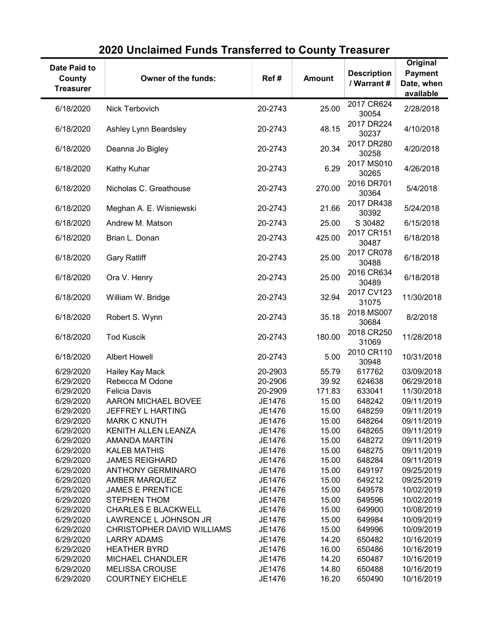| Date Paid to<br>County<br><b>Treasurer</b> | Owner of the funds:                          | Ref#             | <b>Amount</b>  | <b>Description</b><br>/ Warrant # | Original<br><b>Payment</b><br>Date, when<br>available |
|--------------------------------------------|----------------------------------------------|------------------|----------------|-----------------------------------|-------------------------------------------------------|
| 6/18/2020                                  | Nick Terbovich                               | 20-2743          | 25.00          | 2017 CR624<br>30054               | 2/28/2018                                             |
| 6/18/2020                                  | Ashley Lynn Beardsley                        | 20-2743          | 48.15          | 2017 DR224<br>30237               | 4/10/2018                                             |
| 6/18/2020                                  | Deanna Jo Bigley                             | 20-2743          | 20.34          | 2017 DR280<br>30258               | 4/20/2018                                             |
| 6/18/2020                                  | Kathy Kuhar                                  | 20-2743          | 6.29           | 2017 MS010<br>30265               | 4/26/2018                                             |
| 6/18/2020                                  | Nicholas C. Greathouse                       | 20-2743          | 270.00         | 2016 DR701<br>30364               | 5/4/2018                                              |
| 6/18/2020                                  | Meghan A. E. Wisniewski                      | 20-2743          | 21.66          | 2017 DR438<br>30392               | 5/24/2018                                             |
| 6/18/2020                                  | Andrew M. Matson                             | 20-2743          | 25.00          | S 30482                           | 6/15/2018                                             |
| 6/18/2020                                  | Brian L. Donan                               | 20-2743          | 425.00         | 2017 CR151<br>30487               | 6/18/2018                                             |
| 6/18/2020                                  | <b>Gary Ratliff</b>                          | 20-2743          | 25.00          | 2017 CR078<br>30488               | 6/18/2018                                             |
| 6/18/2020                                  | Ora V. Henry                                 | 20-2743          | 25.00          | 2016 CR634<br>30489               | 6/18/2018                                             |
| 6/18/2020                                  | William W. Bridge                            | 20-2743          | 32.94          | 2017 CV123<br>31075               | 11/30/2018                                            |
| 6/18/2020                                  | Robert S. Wynn                               | 20-2743          | 35.18          | 2018 MS007<br>30684               | 8/2/2018                                              |
| 6/18/2020                                  | <b>Tod Kuscik</b>                            | 20-2743          | 180.00         | 2018 CR250<br>31069               | 11/28/2018                                            |
| 6/18/2020                                  | <b>Albert Howell</b>                         | 20-2743          | 5.00           | 2010 CR110<br>30948               | 10/31/2018                                            |
| 6/29/2020                                  | Hailey Kay Mack                              | 20-2903          | 55.79          | 617762                            | 03/09/2018                                            |
| 6/29/2020                                  | Rebecca M Odone                              | 20-2906          | 39.92          | 624638                            | 06/29/2018                                            |
| 6/29/2020                                  | <b>Felicia Davis</b>                         | 20-2909          | 171.83         | 633041                            | 11/30/2018                                            |
| 6/29/2020                                  | AARON MICHAEL BOVEE                          | JE1476           | 15.00          | 648242                            | 09/11/2019                                            |
| 6/29/2020                                  | JEFFREY L HARTING                            | JE1476           | 15.00          | 648259                            | 09/11/2019                                            |
| 6/29/2020                                  | <b>MARK C KNUTH</b>                          | JE1476           | 15.00          | 648264                            | 09/11/2019                                            |
| 6/29/2020                                  | KENITH ALLEN LEANZA                          | JE1476           | 15.00          | 648265                            | 09/11/2019                                            |
| 6/29/2020                                  | <b>AMANDA MARTIN</b>                         | JE1476           | 15.00          | 648272                            | 09/11/2019                                            |
| 6/29/2020                                  | <b>KALEB MATHIS</b><br><b>JAMES REIGHARD</b> | JE1476           | 15.00<br>15.00 | 648275                            | 09/11/2019                                            |
| 6/29/2020<br>6/29/2020                     | <b>ANTHONY GERMINARO</b>                     | JE1476<br>JE1476 | 15.00          | 648284<br>649197                  | 09/11/2019<br>09/25/2019                              |
| 6/29/2020                                  | <b>AMBER MARQUEZ</b>                         | JE1476           | 15.00          | 649212                            | 09/25/2019                                            |
| 6/29/2020                                  | <b>JAMES E PRENTICE</b>                      | JE1476           | 15.00          | 649578                            | 10/02/2019                                            |
| 6/29/2020                                  | <b>STEPHEN THOM</b>                          | JE1476           | 15.00          | 649596                            | 10/02/2019                                            |
| 6/29/2020                                  | <b>CHARLES E BLACKWELL</b>                   | JE1476           | 15.00          | 649900                            | 10/08/2019                                            |
| 6/29/2020                                  | LAWRENCE L JOHNSON JR                        | JE1476           | 15.00          | 649984                            | 10/09/2019                                            |
| 6/29/2020                                  | CHRISTOPHER DAVID WILLIAMS                   | JE1476           | 15.00          | 649996                            | 10/09/2019                                            |
| 6/29/2020                                  | <b>LARRY ADAMS</b>                           | JE1476           | 14.20          | 650482                            | 10/16/2019                                            |
| 6/29/2020                                  | <b>HEATHER BYRD</b>                          | JE1476           | 16.00          | 650486                            | 10/16/2019                                            |
| 6/29/2020                                  | <b>MICHAEL CHANDLER</b>                      | JE1476           | 14.20          | 650487                            | 10/16/2019                                            |
| 6/29/2020                                  | <b>MELISSA CROUSE</b>                        | JE1476           | 14.80          | 650488                            | 10/16/2019                                            |
| 6/29/2020                                  | <b>COURTNEY EICHELE</b>                      | JE1476           | 16.20          | 650490                            | 10/16/2019                                            |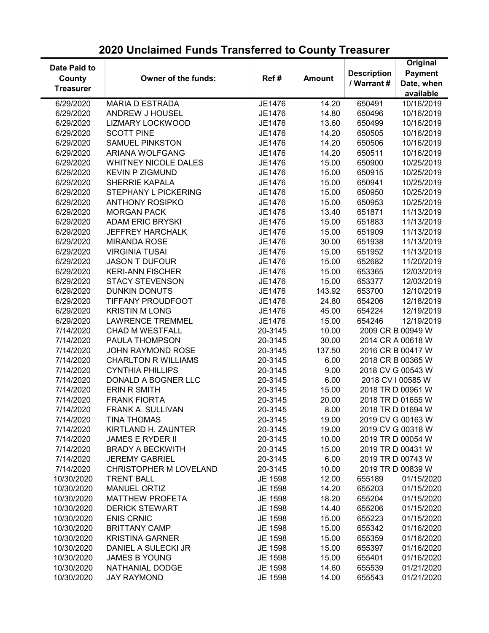| Date Paid to     |                             |         |               |                    | Original          |
|------------------|-----------------------------|---------|---------------|--------------------|-------------------|
| County           | Owner of the funds:         | Ref#    | <b>Amount</b> | <b>Description</b> | <b>Payment</b>    |
| <b>Treasurer</b> |                             |         |               | / Warrant #        | Date, when        |
|                  |                             |         |               |                    | available         |
| 6/29/2020        | <b>MARIA D ESTRADA</b>      | JE1476  | 14.20         | 650491             | 10/16/2019        |
| 6/29/2020        | ANDREW J HOUSEL             | JE1476  | 14.80         | 650496             | 10/16/2019        |
| 6/29/2020        | <b>LIZMARY LOCKWOOD</b>     | JE1476  | 13.60         | 650499             | 10/16/2019        |
| 6/29/2020        | <b>SCOTT PINE</b>           | JE1476  | 14.20         | 650505             | 10/16/2019        |
| 6/29/2020        | <b>SAMUEL PINKSTON</b>      | JE1476  | 14.20         | 650506             | 10/16/2019        |
| 6/29/2020        | ARIANA WOLFGANG             | JE1476  | 14.20         | 650511             | 10/16/2019        |
| 6/29/2020        | <b>WHITNEY NICOLE DALES</b> | JE1476  | 15.00         | 650900             | 10/25/2019        |
| 6/29/2020        | <b>KEVIN P ZIGMUND</b>      | JE1476  | 15.00         | 650915             | 10/25/2019        |
| 6/29/2020        | <b>SHERRIE KAPALA</b>       | JE1476  | 15.00         | 650941             | 10/25/2019        |
| 6/29/2020        | <b>STEPHANY L PICKERING</b> | JE1476  | 15.00         | 650950             | 10/25/2019        |
| 6/29/2020        | <b>ANTHONY ROSIPKO</b>      | JE1476  | 15.00         | 650953             | 10/25/2019        |
| 6/29/2020        | <b>MORGAN PACK</b>          | JE1476  | 13.40         | 651871             | 11/13/2019        |
| 6/29/2020        | <b>ADAM ERIC BRYSKI</b>     | JE1476  | 15.00         | 651883             | 11/13/2019        |
| 6/29/2020        | <b>JEFFREY HARCHALK</b>     | JE1476  | 15.00         | 651909             | 11/13/2019        |
| 6/29/2020        | <b>MIRANDA ROSE</b>         | JE1476  | 30.00         | 651938             | 11/13/2019        |
| 6/29/2020        | <b>VIRGINIA TUSAI</b>       | JE1476  | 15.00         | 651952             | 11/13/2019        |
| 6/29/2020        | <b>JASON T DUFOUR</b>       | JE1476  | 15.00         | 652682             | 11/20/2019        |
| 6/29/2020        | <b>KERI-ANN FISCHER</b>     | JE1476  | 15.00         | 653365             | 12/03/2019        |
| 6/29/2020        | <b>STACY STEVENSON</b>      | JE1476  | 15.00         | 653377             | 12/03/2019        |
| 6/29/2020        | <b>DUNKIN DONUTS</b>        | JE1476  | 143.92        | 653700             | 12/10/2019        |
| 6/29/2020        | <b>TIFFANY PROUDFOOT</b>    | JE1476  | 24.80         | 654206             | 12/18/2019        |
| 6/29/2020        | <b>KRISTIN M LONG</b>       | JE1476  | 45.00         | 654224             | 12/19/2019        |
| 6/29/2020        | <b>LAWRENCE TREMMEL</b>     | JE1476  | 15.00         | 654246             | 12/19/2019        |
| 7/14/2020        | <b>CHAD M WESTFALL</b>      | 20-3145 | 10.00         |                    | 2009 CR B 00949 W |
| 7/14/2020        | PAULA THOMPSON              | 20-3145 | 30.00         |                    | 2014 CR A 00618 W |
|                  | <b>JOHN RAYMOND ROSE</b>    |         |               |                    |                   |
| 7/14/2020        |                             | 20-3145 | 137.50        |                    | 2016 CR B 00417 W |
| 7/14/2020        | <b>CHARLTON R WILLIAMS</b>  | 20-3145 | 6.00          |                    | 2018 CR B 00365 W |
| 7/14/2020        | <b>CYNTHIA PHILLIPS</b>     | 20-3145 | 9.00          |                    | 2018 CV G 00543 W |
| 7/14/2020        | DONALD A BOGNER LLC         | 20-3145 | 6.00          |                    | 2018 CV I 00585 W |
| 7/14/2020        | <b>ERIN R SMITH</b>         | 20-3145 | 15.00         |                    | 2018 TR D 00961 W |
| 7/14/2020        | <b>FRANK FIORTA</b>         | 20-3145 | 20.00         |                    | 2018 TR D 01655 W |
| 7/14/2020        | <b>FRANK A. SULLIVAN</b>    | 20-3145 | 8.00          |                    | 2018 TR D 01694 W |
| 7/14/2020        | <b>TINA THOMAS</b>          | 20-3145 | 19.00         |                    | 2019 CV G 00163 W |
| 7/14/2020        | KIRTLAND H. ZAUNTER         | 20-3145 | 19.00         |                    | 2019 CV G 00318 W |
| 7/14/2020        | <b>JAMES E RYDER II</b>     | 20-3145 | 10.00         |                    | 2019 TR D 00054 W |
| 7/14/2020        | <b>BRADY A BECKWITH</b>     | 20-3145 | 15.00         |                    | 2019 TR D 00431 W |
| 7/14/2020        | <b>JEREMY GABRIEL</b>       | 20-3145 | 6.00          |                    | 2019 TR D 00743 W |
| 7/14/2020        | CHRISTOPHER M LOVELAND      | 20-3145 | 10.00         |                    | 2019 TR D 00839 W |
| 10/30/2020       | <b>TRENT BALL</b>           | JE 1598 | 12.00         | 655189             | 01/15/2020        |
| 10/30/2020       | <b>MANUEL ORTIZ</b>         | JE 1598 | 14.20         | 655203             | 01/15/2020        |
| 10/30/2020       | <b>MATTHEW PROFETA</b>      | JE 1598 | 18.20         | 655204             | 01/15/2020        |
| 10/30/2020       | <b>DERICK STEWART</b>       | JE 1598 | 14.40         | 655206             | 01/15/2020        |
| 10/30/2020       | <b>ENIS CRNIC</b>           | JE 1598 | 15.00         | 655223             | 01/15/2020        |
| 10/30/2020       | <b>BRITTANY CAMP</b>        | JE 1598 | 15.00         | 655342             | 01/16/2020        |
| 10/30/2020       | <b>KRISTINA GARNER</b>      | JE 1598 | 15.00         | 655359             | 01/16/2020        |
| 10/30/2020       | DANIEL A SULECKI JR         | JE 1598 | 15.00         | 655397             | 01/16/2020        |
| 10/30/2020       | <b>JAMES B YOUNG</b>        | JE 1598 | 15.00         | 655401             | 01/16/2020        |
| 10/30/2020       | NATHANIAL DODGE             | JE 1598 | 14.60         | 655539             | 01/21/2020        |
| 10/30/2020       | <b>JAY RAYMOND</b>          | JE 1598 | 14.00         | 655543             | 01/21/2020        |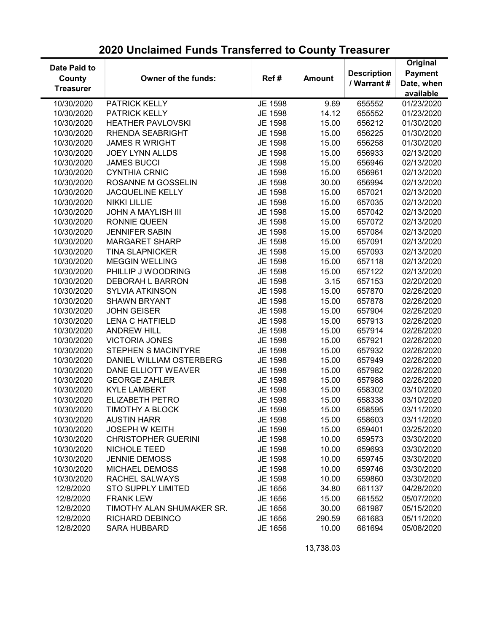| Date Paid to     |                            |         |               |                    | Original       |
|------------------|----------------------------|---------|---------------|--------------------|----------------|
| County           | Owner of the funds:        | Ref#    | <b>Amount</b> | <b>Description</b> | <b>Payment</b> |
| <b>Treasurer</b> |                            |         |               | / Warrant #        | Date, when     |
|                  |                            |         |               |                    | available      |
| 10/30/2020       | PATRICK KELLY              | JE 1598 | 9.69          | 655552             | 01/23/2020     |
| 10/30/2020       | PATRICK KELLY              | JE 1598 | 14.12         | 655552             | 01/23/2020     |
| 10/30/2020       | <b>HEATHER PAVLOVSKI</b>   | JE 1598 | 15.00         | 656212             | 01/30/2020     |
| 10/30/2020       | RHENDA SEABRIGHT           | JE 1598 | 15.00         | 656225             | 01/30/2020     |
| 10/30/2020       | <b>JAMES R WRIGHT</b>      | JE 1598 | 15.00         | 656258             | 01/30/2020     |
| 10/30/2020       | <b>JOEY LYNN ALLDS</b>     | JE 1598 | 15.00         | 656933             | 02/13/2020     |
| 10/30/2020       | <b>JAMES BUCCI</b>         | JE 1598 | 15.00         | 656946             | 02/13/2020     |
| 10/30/2020       | <b>CYNTHIA CRNIC</b>       | JE 1598 | 15.00         | 656961             | 02/13/2020     |
| 10/30/2020       | ROSANNE M GOSSELIN         | JE 1598 | 30.00         | 656994             | 02/13/2020     |
| 10/30/2020       | <b>JACQUELINE KELLY</b>    | JE 1598 | 15.00         | 657021             | 02/13/2020     |
| 10/30/2020       | <b>NIKKI LILLIE</b>        | JE 1598 | 15.00         | 657035             | 02/13/2020     |
| 10/30/2020       | <b>JOHN A MAYLISH III</b>  | JE 1598 | 15.00         | 657042             | 02/13/2020     |
| 10/30/2020       | <b>RONNIE QUEEN</b>        | JE 1598 | 15.00         | 657072             | 02/13/2020     |
| 10/30/2020       | <b>JENNIFER SABIN</b>      | JE 1598 | 15.00         | 657084             | 02/13/2020     |
| 10/30/2020       | <b>MARGARET SHARP</b>      | JE 1598 | 15.00         | 657091             | 02/13/2020     |
| 10/30/2020       | <b>TINA SLAPNICKER</b>     | JE 1598 | 15.00         | 657093             | 02/13/2020     |
| 10/30/2020       | <b>MEGGIN WELLING</b>      | JE 1598 | 15.00         | 657118             | 02/13/2020     |
| 10/30/2020       | PHILLIP J WOODRING         | JE 1598 | 15.00         | 657122             | 02/13/2020     |
| 10/30/2020       | DEBORAH L BARRON           | JE 1598 | 3.15          | 657153             | 02/20/2020     |
| 10/30/2020       | <b>SYLVIA ATKINSON</b>     | JE 1598 | 15.00         | 657870             | 02/26/2020     |
| 10/30/2020       | <b>SHAWN BRYANT</b>        | JE 1598 | 15.00         | 657878             | 02/26/2020     |
| 10/30/2020       | <b>JOHN GEISER</b>         | JE 1598 | 15.00         | 657904             | 02/26/2020     |
| 10/30/2020       | <b>LENA C HATFIELD</b>     | JE 1598 | 15.00         | 657913             | 02/26/2020     |
| 10/30/2020       | <b>ANDREW HILL</b>         | JE 1598 | 15.00         | 657914             | 02/26/2020     |
| 10/30/2020       | <b>VICTORIA JONES</b>      | JE 1598 | 15.00         | 657921             | 02/26/2020     |
| 10/30/2020       | <b>STEPHEN S MACINTYRE</b> | JE 1598 | 15.00         | 657932             | 02/26/2020     |
| 10/30/2020       | DANIEL WILLIAM OSTERBERG   | JE 1598 | 15.00         | 657949             | 02/26/2020     |
|                  | DANE ELLIOTT WEAVER        |         | 15.00         | 657982             | 02/26/2020     |
| 10/30/2020       |                            | JE 1598 |               |                    |                |
| 10/30/2020       | <b>GEORGE ZAHLER</b>       | JE 1598 | 15.00         | 657988             | 02/26/2020     |
| 10/30/2020       | <b>KYLE LAMBERT</b>        | JE 1598 | 15.00         | 658302             | 03/10/2020     |
| 10/30/2020       | ELIZABETH PETRO            | JE 1598 | 15.00         | 658338             | 03/10/2020     |
| 10/30/2020       | TIMOTHY A BLOCK            | JE 1598 | 15.00         | 658595             | 03/11/2020     |
| 10/30/2020       | <b>AUSTIN HARR</b>         | JE 1598 | 15.00         | 658603             | 03/11/2020     |
| 10/30/2020       | <b>JOSEPH W KEITH</b>      | JE 1598 | 15.00         | 659401             | 03/25/2020     |
| 10/30/2020       | <b>CHRISTOPHER GUERINI</b> | JE 1598 | 10.00         | 659573             | 03/30/2020     |
| 10/30/2020       | NICHOLE TEED               | JE 1598 | 10.00         | 659693             | 03/30/2020     |
| 10/30/2020       | <b>JENNIE DEMOSS</b>       | JE 1598 | 10.00         | 659745             | 03/30/2020     |
| 10/30/2020       | <b>MICHAEL DEMOSS</b>      | JE 1598 | 10.00         | 659746             | 03/30/2020     |
| 10/30/2020       | RACHEL SALWAYS             | JE 1598 | 10.00         | 659860             | 03/30/2020     |
| 12/8/2020        | <b>STO SUPPLY LIMITED</b>  | JE 1656 | 34.80         | 661137             | 04/28/2020     |
| 12/8/2020        | <b>FRANK LEW</b>           | JE 1656 | 15.00         | 661552             | 05/07/2020     |
| 12/8/2020        | TIMOTHY ALAN SHUMAKER SR.  | JE 1656 | 30.00         | 661987             | 05/15/2020     |
| 12/8/2020        | RICHARD DEBINCO            | JE 1656 | 290.59        | 661683             | 05/11/2020     |
| 12/8/2020        | <b>SARA HUBBARD</b>        | JE 1656 | 10.00         | 661694             | 05/08/2020     |

13,738.03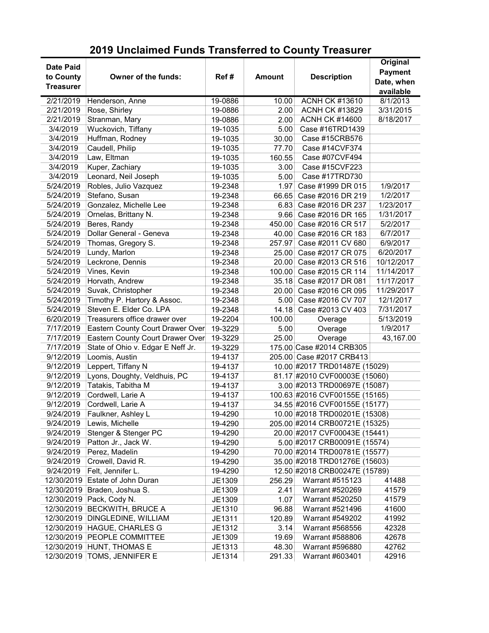| <b>Treasurer</b><br>available<br>2/21/2019<br><b>ACNH CK #13610</b><br>8/1/2013<br>19-0886<br>10.00<br>Henderson, Anne<br>2/21/2019<br>Rose, Shirley<br>3/31/2015<br>2.00<br><b>ACNH CK #13829</b><br>19-0886<br>2/21/2019<br>Stranman, Mary<br><b>ACNH CK #14600</b><br>8/18/2017<br>2.00<br>19-0886<br>3/4/2019<br>Wuckovich, Tiffany<br>Case #16TRD1439<br>5.00<br>19-1035<br>3/4/2019<br>Huffman, Rodney<br>Case #15CRB576<br>30.00<br>19-1035<br>3/4/2019<br>Caudell, Philip<br>Case #14CVF374<br>77.70<br>19-1035<br>Law, Eltman<br>3/4/2019<br>Case #07CVF494<br>160.55<br>19-1035<br>Kuper, Zachiary<br>Case #15CVF223<br>3/4/2019<br>19-1035<br>3.00<br>Leonard, Neil Joseph<br>3/4/2019<br>Case #17TRD730<br>5.00<br>19-1035<br>Robles, Julio Vazquez<br>1/9/2017<br>5/24/2019<br>1.97<br>Case #1999 DR 015<br>19-2348<br>Stefano, Susan<br>1/2/2017<br>5/24/2019<br>Case #2016 DR 219<br>19-2348<br>66.65<br>5/24/2019<br>Gonzalez, Michelle Lee<br>Case #2016 DR 237<br>1/23/2017<br>19-2348<br>6.83<br>Ornelas, Brittany N.<br>5/24/2019<br>1/31/2017<br>9.66 Case #2016 DR 165<br>19-2348<br>5/24/2019<br>Beres, Randy<br>5/2/2017<br>19-2348<br>450.00 Case #2016 CR 517<br>Dollar General - Geneva<br>5/24/2019<br>6/7/2017<br>40.00 Case #2016 CR 183<br>19-2348<br>5/24/2019<br>Thomas, Gregory S.<br>Case #2011 CV 680<br>6/9/2017<br>19-2348<br>257.97<br>5/24/2019<br>Lundy, Marlon<br>6/20/2017<br>19-2348<br>25.00 Case #2017 CR 075<br>5/24/2019<br>Leckrone, Dennis<br>20.00 Case #2013 CR 516<br>10/12/2017<br>19-2348<br>5/24/2019<br>Vines, Kevin<br>100.00 Case #2015 CR 114<br>11/14/2017<br>19-2348<br>Horvath, Andrew<br>5/24/2019<br>11/17/2017<br>35.18 Case #2017 DR 081<br>19-2348<br>Suvak, Christopher<br>5/24/2019<br>11/29/2017<br>19-2348<br>20.00<br>Case #2016 CR 095<br>Timothy P. Hartory & Assoc.<br>5/24/2019<br>Case #2016 CV 707<br>12/1/2017<br>19-2348<br>5.00<br>Steven E. Elder Co. LPA<br>5/24/2019<br>7/31/2017<br>Case #2013 CV 403<br>19-2348<br>14.18<br>Treasurers office drawer over<br>6/20/2019<br>5/13/2019<br>19-2204<br>100.00<br>Overage<br>7/17/2019<br>Eastern County Court Drawer Over<br>1/9/2017<br>19-3229<br>5.00<br>Overage<br>Eastern County Court Drawer Over<br>7/17/2019<br>25.00<br>Overage<br>43,167.00<br>19-3229<br>7/17/2019<br>State of Ohio v. Edgar E Neff Jr.<br>175.00 Case #2014 CRB305<br>19-3229<br>9/12/2019<br>Loomis, Austin<br>205.00 Case #2017 CRB413<br>19-4137<br>9/12/2019<br>Leppert, Tiffany N<br>10.00 #2017 TRD01487E (15029)<br>19-4137<br>Lyons, Doughty, Veldhuis, PC<br>81.17 #2010 CVF00003E (15060)<br>9/12/2019<br>19-4137<br>Tatakis, Tabitha M<br>3.00 #2013 TRD00697E (15087)<br>9/12/2019<br>19-4137<br>Cordwell, Larie A<br>100.63 #2016 CVF00155E (15165)<br>9/12/2019<br>19-4137<br>9/12/2019<br>Cordwell, Larie A<br>34.55 #2016 CVF00155E (15177)<br>19-4137<br>9/24/2019<br>10.00 #2018 TRD00201E (15308)<br>Faulkner, Ashley L<br>19-4290<br>Lewis, Michelle<br>205.00 #2014 CRB00721E (15325)<br>9/24/2019<br>19-4290<br>Stenger & Stenger PC<br>20.00 #2017 CVF00043E (15441)<br>9/24/2019<br>19-4290 |
|-----------------------------------------------------------------------------------------------------------------------------------------------------------------------------------------------------------------------------------------------------------------------------------------------------------------------------------------------------------------------------------------------------------------------------------------------------------------------------------------------------------------------------------------------------------------------------------------------------------------------------------------------------------------------------------------------------------------------------------------------------------------------------------------------------------------------------------------------------------------------------------------------------------------------------------------------------------------------------------------------------------------------------------------------------------------------------------------------------------------------------------------------------------------------------------------------------------------------------------------------------------------------------------------------------------------------------------------------------------------------------------------------------------------------------------------------------------------------------------------------------------------------------------------------------------------------------------------------------------------------------------------------------------------------------------------------------------------------------------------------------------------------------------------------------------------------------------------------------------------------------------------------------------------------------------------------------------------------------------------------------------------------------------------------------------------------------------------------------------------------------------------------------------------------------------------------------------------------------------------------------------------------------------------------------------------------------------------------------------------------------------------------------------------------------------------------------------------------------------------------------------------------------------------------------------------------------------------------------------------------------------------------------------------------------------------------------------------------------------------------------------------------------------------------------------------------------------------------------------------------------------------------------------------------------------------------------------------------------------------------------------------------------------------------------------------------------------------------------------------------------------|
|                                                                                                                                                                                                                                                                                                                                                                                                                                                                                                                                                                                                                                                                                                                                                                                                                                                                                                                                                                                                                                                                                                                                                                                                                                                                                                                                                                                                                                                                                                                                                                                                                                                                                                                                                                                                                                                                                                                                                                                                                                                                                                                                                                                                                                                                                                                                                                                                                                                                                                                                                                                                                                                                                                                                                                                                                                                                                                                                                                                                                                                                                                                                   |
|                                                                                                                                                                                                                                                                                                                                                                                                                                                                                                                                                                                                                                                                                                                                                                                                                                                                                                                                                                                                                                                                                                                                                                                                                                                                                                                                                                                                                                                                                                                                                                                                                                                                                                                                                                                                                                                                                                                                                                                                                                                                                                                                                                                                                                                                                                                                                                                                                                                                                                                                                                                                                                                                                                                                                                                                                                                                                                                                                                                                                                                                                                                                   |
|                                                                                                                                                                                                                                                                                                                                                                                                                                                                                                                                                                                                                                                                                                                                                                                                                                                                                                                                                                                                                                                                                                                                                                                                                                                                                                                                                                                                                                                                                                                                                                                                                                                                                                                                                                                                                                                                                                                                                                                                                                                                                                                                                                                                                                                                                                                                                                                                                                                                                                                                                                                                                                                                                                                                                                                                                                                                                                                                                                                                                                                                                                                                   |
|                                                                                                                                                                                                                                                                                                                                                                                                                                                                                                                                                                                                                                                                                                                                                                                                                                                                                                                                                                                                                                                                                                                                                                                                                                                                                                                                                                                                                                                                                                                                                                                                                                                                                                                                                                                                                                                                                                                                                                                                                                                                                                                                                                                                                                                                                                                                                                                                                                                                                                                                                                                                                                                                                                                                                                                                                                                                                                                                                                                                                                                                                                                                   |
|                                                                                                                                                                                                                                                                                                                                                                                                                                                                                                                                                                                                                                                                                                                                                                                                                                                                                                                                                                                                                                                                                                                                                                                                                                                                                                                                                                                                                                                                                                                                                                                                                                                                                                                                                                                                                                                                                                                                                                                                                                                                                                                                                                                                                                                                                                                                                                                                                                                                                                                                                                                                                                                                                                                                                                                                                                                                                                                                                                                                                                                                                                                                   |
|                                                                                                                                                                                                                                                                                                                                                                                                                                                                                                                                                                                                                                                                                                                                                                                                                                                                                                                                                                                                                                                                                                                                                                                                                                                                                                                                                                                                                                                                                                                                                                                                                                                                                                                                                                                                                                                                                                                                                                                                                                                                                                                                                                                                                                                                                                                                                                                                                                                                                                                                                                                                                                                                                                                                                                                                                                                                                                                                                                                                                                                                                                                                   |
|                                                                                                                                                                                                                                                                                                                                                                                                                                                                                                                                                                                                                                                                                                                                                                                                                                                                                                                                                                                                                                                                                                                                                                                                                                                                                                                                                                                                                                                                                                                                                                                                                                                                                                                                                                                                                                                                                                                                                                                                                                                                                                                                                                                                                                                                                                                                                                                                                                                                                                                                                                                                                                                                                                                                                                                                                                                                                                                                                                                                                                                                                                                                   |
|                                                                                                                                                                                                                                                                                                                                                                                                                                                                                                                                                                                                                                                                                                                                                                                                                                                                                                                                                                                                                                                                                                                                                                                                                                                                                                                                                                                                                                                                                                                                                                                                                                                                                                                                                                                                                                                                                                                                                                                                                                                                                                                                                                                                                                                                                                                                                                                                                                                                                                                                                                                                                                                                                                                                                                                                                                                                                                                                                                                                                                                                                                                                   |
|                                                                                                                                                                                                                                                                                                                                                                                                                                                                                                                                                                                                                                                                                                                                                                                                                                                                                                                                                                                                                                                                                                                                                                                                                                                                                                                                                                                                                                                                                                                                                                                                                                                                                                                                                                                                                                                                                                                                                                                                                                                                                                                                                                                                                                                                                                                                                                                                                                                                                                                                                                                                                                                                                                                                                                                                                                                                                                                                                                                                                                                                                                                                   |
|                                                                                                                                                                                                                                                                                                                                                                                                                                                                                                                                                                                                                                                                                                                                                                                                                                                                                                                                                                                                                                                                                                                                                                                                                                                                                                                                                                                                                                                                                                                                                                                                                                                                                                                                                                                                                                                                                                                                                                                                                                                                                                                                                                                                                                                                                                                                                                                                                                                                                                                                                                                                                                                                                                                                                                                                                                                                                                                                                                                                                                                                                                                                   |
|                                                                                                                                                                                                                                                                                                                                                                                                                                                                                                                                                                                                                                                                                                                                                                                                                                                                                                                                                                                                                                                                                                                                                                                                                                                                                                                                                                                                                                                                                                                                                                                                                                                                                                                                                                                                                                                                                                                                                                                                                                                                                                                                                                                                                                                                                                                                                                                                                                                                                                                                                                                                                                                                                                                                                                                                                                                                                                                                                                                                                                                                                                                                   |
|                                                                                                                                                                                                                                                                                                                                                                                                                                                                                                                                                                                                                                                                                                                                                                                                                                                                                                                                                                                                                                                                                                                                                                                                                                                                                                                                                                                                                                                                                                                                                                                                                                                                                                                                                                                                                                                                                                                                                                                                                                                                                                                                                                                                                                                                                                                                                                                                                                                                                                                                                                                                                                                                                                                                                                                                                                                                                                                                                                                                                                                                                                                                   |
|                                                                                                                                                                                                                                                                                                                                                                                                                                                                                                                                                                                                                                                                                                                                                                                                                                                                                                                                                                                                                                                                                                                                                                                                                                                                                                                                                                                                                                                                                                                                                                                                                                                                                                                                                                                                                                                                                                                                                                                                                                                                                                                                                                                                                                                                                                                                                                                                                                                                                                                                                                                                                                                                                                                                                                                                                                                                                                                                                                                                                                                                                                                                   |
|                                                                                                                                                                                                                                                                                                                                                                                                                                                                                                                                                                                                                                                                                                                                                                                                                                                                                                                                                                                                                                                                                                                                                                                                                                                                                                                                                                                                                                                                                                                                                                                                                                                                                                                                                                                                                                                                                                                                                                                                                                                                                                                                                                                                                                                                                                                                                                                                                                                                                                                                                                                                                                                                                                                                                                                                                                                                                                                                                                                                                                                                                                                                   |
|                                                                                                                                                                                                                                                                                                                                                                                                                                                                                                                                                                                                                                                                                                                                                                                                                                                                                                                                                                                                                                                                                                                                                                                                                                                                                                                                                                                                                                                                                                                                                                                                                                                                                                                                                                                                                                                                                                                                                                                                                                                                                                                                                                                                                                                                                                                                                                                                                                                                                                                                                                                                                                                                                                                                                                                                                                                                                                                                                                                                                                                                                                                                   |
|                                                                                                                                                                                                                                                                                                                                                                                                                                                                                                                                                                                                                                                                                                                                                                                                                                                                                                                                                                                                                                                                                                                                                                                                                                                                                                                                                                                                                                                                                                                                                                                                                                                                                                                                                                                                                                                                                                                                                                                                                                                                                                                                                                                                                                                                                                                                                                                                                                                                                                                                                                                                                                                                                                                                                                                                                                                                                                                                                                                                                                                                                                                                   |
|                                                                                                                                                                                                                                                                                                                                                                                                                                                                                                                                                                                                                                                                                                                                                                                                                                                                                                                                                                                                                                                                                                                                                                                                                                                                                                                                                                                                                                                                                                                                                                                                                                                                                                                                                                                                                                                                                                                                                                                                                                                                                                                                                                                                                                                                                                                                                                                                                                                                                                                                                                                                                                                                                                                                                                                                                                                                                                                                                                                                                                                                                                                                   |
|                                                                                                                                                                                                                                                                                                                                                                                                                                                                                                                                                                                                                                                                                                                                                                                                                                                                                                                                                                                                                                                                                                                                                                                                                                                                                                                                                                                                                                                                                                                                                                                                                                                                                                                                                                                                                                                                                                                                                                                                                                                                                                                                                                                                                                                                                                                                                                                                                                                                                                                                                                                                                                                                                                                                                                                                                                                                                                                                                                                                                                                                                                                                   |
|                                                                                                                                                                                                                                                                                                                                                                                                                                                                                                                                                                                                                                                                                                                                                                                                                                                                                                                                                                                                                                                                                                                                                                                                                                                                                                                                                                                                                                                                                                                                                                                                                                                                                                                                                                                                                                                                                                                                                                                                                                                                                                                                                                                                                                                                                                                                                                                                                                                                                                                                                                                                                                                                                                                                                                                                                                                                                                                                                                                                                                                                                                                                   |
|                                                                                                                                                                                                                                                                                                                                                                                                                                                                                                                                                                                                                                                                                                                                                                                                                                                                                                                                                                                                                                                                                                                                                                                                                                                                                                                                                                                                                                                                                                                                                                                                                                                                                                                                                                                                                                                                                                                                                                                                                                                                                                                                                                                                                                                                                                                                                                                                                                                                                                                                                                                                                                                                                                                                                                                                                                                                                                                                                                                                                                                                                                                                   |
|                                                                                                                                                                                                                                                                                                                                                                                                                                                                                                                                                                                                                                                                                                                                                                                                                                                                                                                                                                                                                                                                                                                                                                                                                                                                                                                                                                                                                                                                                                                                                                                                                                                                                                                                                                                                                                                                                                                                                                                                                                                                                                                                                                                                                                                                                                                                                                                                                                                                                                                                                                                                                                                                                                                                                                                                                                                                                                                                                                                                                                                                                                                                   |
|                                                                                                                                                                                                                                                                                                                                                                                                                                                                                                                                                                                                                                                                                                                                                                                                                                                                                                                                                                                                                                                                                                                                                                                                                                                                                                                                                                                                                                                                                                                                                                                                                                                                                                                                                                                                                                                                                                                                                                                                                                                                                                                                                                                                                                                                                                                                                                                                                                                                                                                                                                                                                                                                                                                                                                                                                                                                                                                                                                                                                                                                                                                                   |
|                                                                                                                                                                                                                                                                                                                                                                                                                                                                                                                                                                                                                                                                                                                                                                                                                                                                                                                                                                                                                                                                                                                                                                                                                                                                                                                                                                                                                                                                                                                                                                                                                                                                                                                                                                                                                                                                                                                                                                                                                                                                                                                                                                                                                                                                                                                                                                                                                                                                                                                                                                                                                                                                                                                                                                                                                                                                                                                                                                                                                                                                                                                                   |
|                                                                                                                                                                                                                                                                                                                                                                                                                                                                                                                                                                                                                                                                                                                                                                                                                                                                                                                                                                                                                                                                                                                                                                                                                                                                                                                                                                                                                                                                                                                                                                                                                                                                                                                                                                                                                                                                                                                                                                                                                                                                                                                                                                                                                                                                                                                                                                                                                                                                                                                                                                                                                                                                                                                                                                                                                                                                                                                                                                                                                                                                                                                                   |
|                                                                                                                                                                                                                                                                                                                                                                                                                                                                                                                                                                                                                                                                                                                                                                                                                                                                                                                                                                                                                                                                                                                                                                                                                                                                                                                                                                                                                                                                                                                                                                                                                                                                                                                                                                                                                                                                                                                                                                                                                                                                                                                                                                                                                                                                                                                                                                                                                                                                                                                                                                                                                                                                                                                                                                                                                                                                                                                                                                                                                                                                                                                                   |
|                                                                                                                                                                                                                                                                                                                                                                                                                                                                                                                                                                                                                                                                                                                                                                                                                                                                                                                                                                                                                                                                                                                                                                                                                                                                                                                                                                                                                                                                                                                                                                                                                                                                                                                                                                                                                                                                                                                                                                                                                                                                                                                                                                                                                                                                                                                                                                                                                                                                                                                                                                                                                                                                                                                                                                                                                                                                                                                                                                                                                                                                                                                                   |
|                                                                                                                                                                                                                                                                                                                                                                                                                                                                                                                                                                                                                                                                                                                                                                                                                                                                                                                                                                                                                                                                                                                                                                                                                                                                                                                                                                                                                                                                                                                                                                                                                                                                                                                                                                                                                                                                                                                                                                                                                                                                                                                                                                                                                                                                                                                                                                                                                                                                                                                                                                                                                                                                                                                                                                                                                                                                                                                                                                                                                                                                                                                                   |
|                                                                                                                                                                                                                                                                                                                                                                                                                                                                                                                                                                                                                                                                                                                                                                                                                                                                                                                                                                                                                                                                                                                                                                                                                                                                                                                                                                                                                                                                                                                                                                                                                                                                                                                                                                                                                                                                                                                                                                                                                                                                                                                                                                                                                                                                                                                                                                                                                                                                                                                                                                                                                                                                                                                                                                                                                                                                                                                                                                                                                                                                                                                                   |
|                                                                                                                                                                                                                                                                                                                                                                                                                                                                                                                                                                                                                                                                                                                                                                                                                                                                                                                                                                                                                                                                                                                                                                                                                                                                                                                                                                                                                                                                                                                                                                                                                                                                                                                                                                                                                                                                                                                                                                                                                                                                                                                                                                                                                                                                                                                                                                                                                                                                                                                                                                                                                                                                                                                                                                                                                                                                                                                                                                                                                                                                                                                                   |
|                                                                                                                                                                                                                                                                                                                                                                                                                                                                                                                                                                                                                                                                                                                                                                                                                                                                                                                                                                                                                                                                                                                                                                                                                                                                                                                                                                                                                                                                                                                                                                                                                                                                                                                                                                                                                                                                                                                                                                                                                                                                                                                                                                                                                                                                                                                                                                                                                                                                                                                                                                                                                                                                                                                                                                                                                                                                                                                                                                                                                                                                                                                                   |
|                                                                                                                                                                                                                                                                                                                                                                                                                                                                                                                                                                                                                                                                                                                                                                                                                                                                                                                                                                                                                                                                                                                                                                                                                                                                                                                                                                                                                                                                                                                                                                                                                                                                                                                                                                                                                                                                                                                                                                                                                                                                                                                                                                                                                                                                                                                                                                                                                                                                                                                                                                                                                                                                                                                                                                                                                                                                                                                                                                                                                                                                                                                                   |
|                                                                                                                                                                                                                                                                                                                                                                                                                                                                                                                                                                                                                                                                                                                                                                                                                                                                                                                                                                                                                                                                                                                                                                                                                                                                                                                                                                                                                                                                                                                                                                                                                                                                                                                                                                                                                                                                                                                                                                                                                                                                                                                                                                                                                                                                                                                                                                                                                                                                                                                                                                                                                                                                                                                                                                                                                                                                                                                                                                                                                                                                                                                                   |
|                                                                                                                                                                                                                                                                                                                                                                                                                                                                                                                                                                                                                                                                                                                                                                                                                                                                                                                                                                                                                                                                                                                                                                                                                                                                                                                                                                                                                                                                                                                                                                                                                                                                                                                                                                                                                                                                                                                                                                                                                                                                                                                                                                                                                                                                                                                                                                                                                                                                                                                                                                                                                                                                                                                                                                                                                                                                                                                                                                                                                                                                                                                                   |
|                                                                                                                                                                                                                                                                                                                                                                                                                                                                                                                                                                                                                                                                                                                                                                                                                                                                                                                                                                                                                                                                                                                                                                                                                                                                                                                                                                                                                                                                                                                                                                                                                                                                                                                                                                                                                                                                                                                                                                                                                                                                                                                                                                                                                                                                                                                                                                                                                                                                                                                                                                                                                                                                                                                                                                                                                                                                                                                                                                                                                                                                                                                                   |
|                                                                                                                                                                                                                                                                                                                                                                                                                                                                                                                                                                                                                                                                                                                                                                                                                                                                                                                                                                                                                                                                                                                                                                                                                                                                                                                                                                                                                                                                                                                                                                                                                                                                                                                                                                                                                                                                                                                                                                                                                                                                                                                                                                                                                                                                                                                                                                                                                                                                                                                                                                                                                                                                                                                                                                                                                                                                                                                                                                                                                                                                                                                                   |
|                                                                                                                                                                                                                                                                                                                                                                                                                                                                                                                                                                                                                                                                                                                                                                                                                                                                                                                                                                                                                                                                                                                                                                                                                                                                                                                                                                                                                                                                                                                                                                                                                                                                                                                                                                                                                                                                                                                                                                                                                                                                                                                                                                                                                                                                                                                                                                                                                                                                                                                                                                                                                                                                                                                                                                                                                                                                                                                                                                                                                                                                                                                                   |
|                                                                                                                                                                                                                                                                                                                                                                                                                                                                                                                                                                                                                                                                                                                                                                                                                                                                                                                                                                                                                                                                                                                                                                                                                                                                                                                                                                                                                                                                                                                                                                                                                                                                                                                                                                                                                                                                                                                                                                                                                                                                                                                                                                                                                                                                                                                                                                                                                                                                                                                                                                                                                                                                                                                                                                                                                                                                                                                                                                                                                                                                                                                                   |
| Patton Jr., Jack W.<br>5.00 #2017 CRB00091E (15574)<br>9/24/2019<br>19-4290                                                                                                                                                                                                                                                                                                                                                                                                                                                                                                                                                                                                                                                                                                                                                                                                                                                                                                                                                                                                                                                                                                                                                                                                                                                                                                                                                                                                                                                                                                                                                                                                                                                                                                                                                                                                                                                                                                                                                                                                                                                                                                                                                                                                                                                                                                                                                                                                                                                                                                                                                                                                                                                                                                                                                                                                                                                                                                                                                                                                                                                       |
| Perez, Madelin<br>70.00 #2014 TRD00781E (15577)<br>9/24/2019<br>19-4290                                                                                                                                                                                                                                                                                                                                                                                                                                                                                                                                                                                                                                                                                                                                                                                                                                                                                                                                                                                                                                                                                                                                                                                                                                                                                                                                                                                                                                                                                                                                                                                                                                                                                                                                                                                                                                                                                                                                                                                                                                                                                                                                                                                                                                                                                                                                                                                                                                                                                                                                                                                                                                                                                                                                                                                                                                                                                                                                                                                                                                                           |
| Crowell, David R.<br>35.00 #2018 TRD01276E (15603)<br>9/24/2019<br>19-4290                                                                                                                                                                                                                                                                                                                                                                                                                                                                                                                                                                                                                                                                                                                                                                                                                                                                                                                                                                                                                                                                                                                                                                                                                                                                                                                                                                                                                                                                                                                                                                                                                                                                                                                                                                                                                                                                                                                                                                                                                                                                                                                                                                                                                                                                                                                                                                                                                                                                                                                                                                                                                                                                                                                                                                                                                                                                                                                                                                                                                                                        |
| 9/24/2019<br>Felt, Jennifer L.<br>12.50 #2018 CRB00247E (15789)<br>19-4290                                                                                                                                                                                                                                                                                                                                                                                                                                                                                                                                                                                                                                                                                                                                                                                                                                                                                                                                                                                                                                                                                                                                                                                                                                                                                                                                                                                                                                                                                                                                                                                                                                                                                                                                                                                                                                                                                                                                                                                                                                                                                                                                                                                                                                                                                                                                                                                                                                                                                                                                                                                                                                                                                                                                                                                                                                                                                                                                                                                                                                                        |
| 12/30/2019 Estate of John Duran<br>Warrant #515123<br>JE1309<br>256.29<br>41488                                                                                                                                                                                                                                                                                                                                                                                                                                                                                                                                                                                                                                                                                                                                                                                                                                                                                                                                                                                                                                                                                                                                                                                                                                                                                                                                                                                                                                                                                                                                                                                                                                                                                                                                                                                                                                                                                                                                                                                                                                                                                                                                                                                                                                                                                                                                                                                                                                                                                                                                                                                                                                                                                                                                                                                                                                                                                                                                                                                                                                                   |
| 12/30/2019 Braden, Joshua S.<br>Warrant #520269<br>41579<br>JE1309<br>2.41                                                                                                                                                                                                                                                                                                                                                                                                                                                                                                                                                                                                                                                                                                                                                                                                                                                                                                                                                                                                                                                                                                                                                                                                                                                                                                                                                                                                                                                                                                                                                                                                                                                                                                                                                                                                                                                                                                                                                                                                                                                                                                                                                                                                                                                                                                                                                                                                                                                                                                                                                                                                                                                                                                                                                                                                                                                                                                                                                                                                                                                        |
| 12/30/2019 Pack, Cody N.<br>Warrant #520250<br>41579<br>JE1309<br>1.07                                                                                                                                                                                                                                                                                                                                                                                                                                                                                                                                                                                                                                                                                                                                                                                                                                                                                                                                                                                                                                                                                                                                                                                                                                                                                                                                                                                                                                                                                                                                                                                                                                                                                                                                                                                                                                                                                                                                                                                                                                                                                                                                                                                                                                                                                                                                                                                                                                                                                                                                                                                                                                                                                                                                                                                                                                                                                                                                                                                                                                                            |
| 12/30/2019 BECKWITH, BRUCE A<br>Warrant #521496<br>41600<br>JE1310<br>96.88                                                                                                                                                                                                                                                                                                                                                                                                                                                                                                                                                                                                                                                                                                                                                                                                                                                                                                                                                                                                                                                                                                                                                                                                                                                                                                                                                                                                                                                                                                                                                                                                                                                                                                                                                                                                                                                                                                                                                                                                                                                                                                                                                                                                                                                                                                                                                                                                                                                                                                                                                                                                                                                                                                                                                                                                                                                                                                                                                                                                                                                       |
| 12/30/2019 DINGLEDINE, WILLIAM<br>Warrant #549202<br>41992<br>JE1311<br>120.89                                                                                                                                                                                                                                                                                                                                                                                                                                                                                                                                                                                                                                                                                                                                                                                                                                                                                                                                                                                                                                                                                                                                                                                                                                                                                                                                                                                                                                                                                                                                                                                                                                                                                                                                                                                                                                                                                                                                                                                                                                                                                                                                                                                                                                                                                                                                                                                                                                                                                                                                                                                                                                                                                                                                                                                                                                                                                                                                                                                                                                                    |
| 12/30/2019 HAGUE, CHARLES G<br>JE1312<br>Warrant #568556<br>42328<br>3.14                                                                                                                                                                                                                                                                                                                                                                                                                                                                                                                                                                                                                                                                                                                                                                                                                                                                                                                                                                                                                                                                                                                                                                                                                                                                                                                                                                                                                                                                                                                                                                                                                                                                                                                                                                                                                                                                                                                                                                                                                                                                                                                                                                                                                                                                                                                                                                                                                                                                                                                                                                                                                                                                                                                                                                                                                                                                                                                                                                                                                                                         |
| 12/30/2019 PEOPLE COMMITTEE<br>19.69<br>Warrant #588806<br>JE1309<br>42678                                                                                                                                                                                                                                                                                                                                                                                                                                                                                                                                                                                                                                                                                                                                                                                                                                                                                                                                                                                                                                                                                                                                                                                                                                                                                                                                                                                                                                                                                                                                                                                                                                                                                                                                                                                                                                                                                                                                                                                                                                                                                                                                                                                                                                                                                                                                                                                                                                                                                                                                                                                                                                                                                                                                                                                                                                                                                                                                                                                                                                                        |
| 12/30/2019 HUNT, THOMAS E<br>JE1313<br>48.30<br>Warrant #596880<br>42762                                                                                                                                                                                                                                                                                                                                                                                                                                                                                                                                                                                                                                                                                                                                                                                                                                                                                                                                                                                                                                                                                                                                                                                                                                                                                                                                                                                                                                                                                                                                                                                                                                                                                                                                                                                                                                                                                                                                                                                                                                                                                                                                                                                                                                                                                                                                                                                                                                                                                                                                                                                                                                                                                                                                                                                                                                                                                                                                                                                                                                                          |
| 12/30/2019 TOMS, JENNIFER E<br>JE1314<br>291.33<br>Warrant #603401<br>42916                                                                                                                                                                                                                                                                                                                                                                                                                                                                                                                                                                                                                                                                                                                                                                                                                                                                                                                                                                                                                                                                                                                                                                                                                                                                                                                                                                                                                                                                                                                                                                                                                                                                                                                                                                                                                                                                                                                                                                                                                                                                                                                                                                                                                                                                                                                                                                                                                                                                                                                                                                                                                                                                                                                                                                                                                                                                                                                                                                                                                                                       |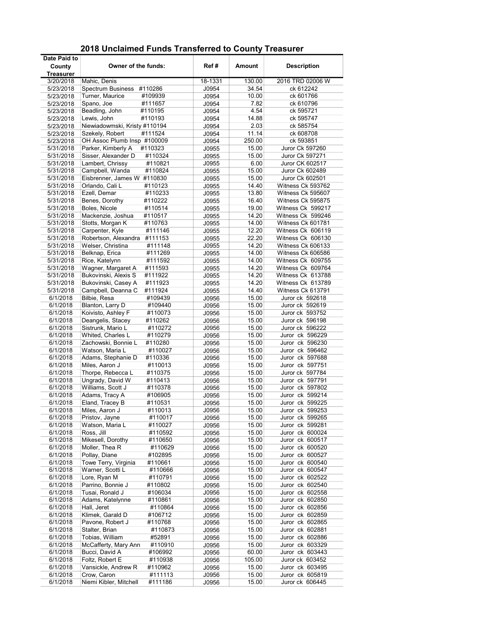| Date Paid to           |                                                             |                |               |                        |
|------------------------|-------------------------------------------------------------|----------------|---------------|------------------------|
| County                 | Owner of the funds:                                         | Ref#           | Amount        | <b>Description</b>     |
| Treasurer              |                                                             |                |               |                        |
| 3/20/2018              | Mahic, Denis                                                | 18-1331        | 130.00        | 2016 TRD 02006 W       |
| 5/23/2018              | <b>Spectrum Business</b><br>#110286                         | J0954          | 34.54         | ck 612242              |
| 5/23/2018              | Turner, Maurice<br>#109939                                  | J0954          | 10.00         | ck 601766              |
| 5/23/2018              | Spano, Joe<br>#111657                                       | J0954          | 7.82          | ck 610796              |
| 5/23/2018              | Beadling, John<br>#110195                                   | J0954          | 4.54          | ck 595721              |
| 5/23/2018              | Lewis, John<br>#110193                                      | J0954          | 14.88         | ck 595747              |
| 5/23/2018              | Niewiadowmski, Kristy #110194<br>Szekely, Robert<br>#111524 | J0954          | 2.03<br>11.14 | ck 585754<br>ck 608708 |
| 5/23/2018<br>5/23/2018 | OH Assoc Plumb Insp #100009                                 | J0954<br>J0954 | 250.00        | ck 593851              |
| 5/31/2018              | Parker, Kimberly A<br>#110323                               | J0955          | 15.00         | Juror Ck 597260        |
| 5/31/2018              | Sisser, Alexander D<br>#110324                              | J0955          | 15.00         | Juror Ck 597271        |
| 5/31/2018              | Lambert, Chrissy<br>#110821                                 | J0955          | 6.00          | Juror CK 602517        |
| 5/31/2018              | Campbell, Wanda<br>#110824                                  | J0955          | 15.00         | Juror Ck 602489        |
| 5/31/2018              | Eisbrenner, James W #110830                                 | J0955          | 15.00         | Juror Ck 602501        |
| 5/31/2018              | Orlando, Cali L<br>#110123                                  | J0955          | 14.40         | Witness Ck 593762      |
| 5/31/2018              | Ezell, Demar<br>#110233                                     | J0955          | 13.80         | Witness Ck 595607      |
| 5/31/2018              | Benes, Dorothy<br>#110222                                   | J0955          | 16.40         | Witness Ck 595875      |
| 5/31/2018              | Boles, Nicole<br>#110514                                    | J0955          | 19.00         | Witness Ck 599217      |
| 5/31/2018              | Mackenzie, Joshua<br>#110517                                | J0955          | 14.20         | Witness Ck 599246      |
| 5/31/2018              | Stotts, Morgan K<br>#110763                                 | J0955          | 14.00         | Witness Ck 601781      |
| 5/31/2018              | Carpenter, Kyle<br>#111146                                  | J0955          | 12.20         | Witness Ck 606119      |
| 5/31/2018              | Robertson, Alexandra<br>#111153                             | J0955          | 22.20         | Witness Ck 606130      |
| 5/31/2018              | Welser, Christina<br>#111148                                | J0955          | 14.20         | Witness Ck 606133      |
| 5/31/2018              | Belknap, Erica<br>#111269                                   | J0955          | 14.00         | Witness Ck 606586      |
| 5/31/2018              | Rice, Katelynn<br>#111592                                   | J0955          | 14.00         | Witness Ck 609755      |
| 5/31/2018              | Wagner, Margaret A<br>#111593                               | J0955          | 14.20         | Witness Ck 609764      |
| 5/31/2018              | Bukovinski, Alexis S<br>#111922                             | J0955          | 14.20         | Witness Ck 613788      |
| 5/31/2018              | Bukovinski, Casey A<br>#111923                              | J0955          | 14.20         | Witness Ck 613789      |
| 5/31/2018              | Campbell, Deanna C<br>#111924                               | J0955          | 14.40         | Witness Ck 613791      |
| 6/1/2018               | Bilbie, Resa<br>#109439                                     | J0956          | 15.00         | Juror ck 592618        |
| 6/1/2018               | Blanton, Larry D<br>#109440                                 | J0956          | 15.00         | Juror ck 592619        |
| 6/1/2018               | Koivisto, Ashley F<br>#110073                               | J0956          | 15.00         | Juror ck 593752        |
| 6/1/2018               | Deangelis, Stacey<br>#110262                                | J0956          | 15.00         | Juror ck 596198        |
| 6/1/2018               | Sistrunk, Mario L<br>#110272                                | J0956          | 15.00         | Juror ck 596222        |
| 6/1/2018               | Whited, Charles L<br>#110279                                | J0956          | 15.00         | Juror ck 596229        |
| 6/1/2018               | Zachowski, Bonnie L<br>#110280                              | J0956          | 15.00         | Juror ck 596230        |
| 6/1/2018               | Watson, Maria L<br>#110027                                  | J0956          | 15.00         | Juror ck 596462        |
| 6/1/2018               | Adams, Stephanie D<br>#110336                               | J0956          | 15.00         | Juror ck 597688        |
| 6/1/2018               | Miles, Aaron J<br>#110013                                   | J0956          | 15.00         | Juror ck 597751        |
| 6/1/2018               | Thorpe, Rebecca L<br>#110375                                | J0956          | 15.00         | Juror ck 597784        |
| 6/1/2018               | Ungrady, David W<br>#110413                                 | J0956          | 15.00         | Juror ck 597791        |
| 6/1/2018               | Williams, Scott J<br>#110378                                | J0956          | 15.00         | Juror ck 597802        |
| 6/1/2018               | Adams, Tracy A<br>#106905                                   | J0956          | 15.00         | Juror ck 599214        |
| 6/1/2018               | Eland, Tracey B<br>#110531                                  | J0956          | 15.00         | Juror ck 599225        |
| 6/1/2018               | Miles, Aaron J<br>#110013                                   | J0956          | 15.00         | Juror ck 599253        |
| 6/1/2018               | Pristov, Jayne<br>#110017                                   | J0956          | 15.00         | Juror ck 599265        |
| 6/1/2018               | Watson, Maria L<br>#110027                                  | J0956          | 15.00         | Juror ck 599281        |
| 6/1/2018               | Ross, Jill<br>#110592                                       | J0956          | 15.00         | Juror ck 600024        |
| 6/1/2018               | Mikesell, Dorothy<br>#110650                                | J0956          | 15.00         | Juror ck 600517        |
| 6/1/2018               | Moller, Thea R<br>#110629                                   | J0956          | 15.00         | Juror ck 600520        |
| 6/1/2018               | Pollay, Diane<br>#102895                                    | J0956          | 15.00         | Juror ck 600527        |
| 6/1/2018               | Towe Terry, Virginia<br>#110661                             | J0956          | 15.00         | Juror ck 600540        |
| 6/1/2018               | Warner, Scotti L<br>#110666                                 | J0956          | 15.00         | Juror ck 600547        |
| 6/1/2018               | Lore, Ryan M<br>#110791                                     | J0956          | 15.00         | Juror ck 602522        |
| 6/1/2018               | Parrino, Bonnie J<br>#110802                                | J0956          | 15.00         | Juror ck 602540        |
| 6/1/2018               | Tusai, Ronald J<br>#106034                                  | J0956          | 15.00         | Juror ck 602558        |
| 6/1/2018               | Adams, Katelynne<br>#110861                                 | J0956          | 15.00         | Juror ck 602850        |
| 6/1/2018               | Hall, Jeret<br>#110864                                      | J0956          | 15.00         | Juror ck 602856        |
| 6/1/2018               | Klimek, Garald D<br>#106712                                 | J0956          | 15.00         | Juror ck 602859        |
| 6/1/2018               | Pavone, Robert J<br>#110768                                 | J0956          | 15.00         | Juror ck 602865        |
| 6/1/2018               | Stalter, Brian<br>#110873                                   | J0956          | 15.00         | Juror ck 602881        |
| 6/1/2018               | Tobias, William<br>#52891                                   | J0956          | 15.00         | Juror ck 602886        |
| 6/1/2018               | McCafferty, Mary Ann<br>#110910                             | J0956          | 15.00         | Juror ck 603329        |
| 6/1/2018               | Bucci, David A<br>#106992                                   | J0956          | 60.00         | Juror ck 603443        |
| 6/1/2018               | Foltz, Robert E<br>#110938                                  | J0956          | 105.00        | Juror ck 603452        |
| 6/1/2018               | Vansickle, Andrew R<br>#110962                              | J0956          | 15.00         | Juror ck 603495        |
| 6/1/2018               | Crow, Caron<br>#111113                                      | J0956          | 15.00         | Juror ck 605819        |
| 6/1/2018               | Niemi Kibler, Mitchell<br>#111186                           | J0956          | 15.00         | Juror ck 606445        |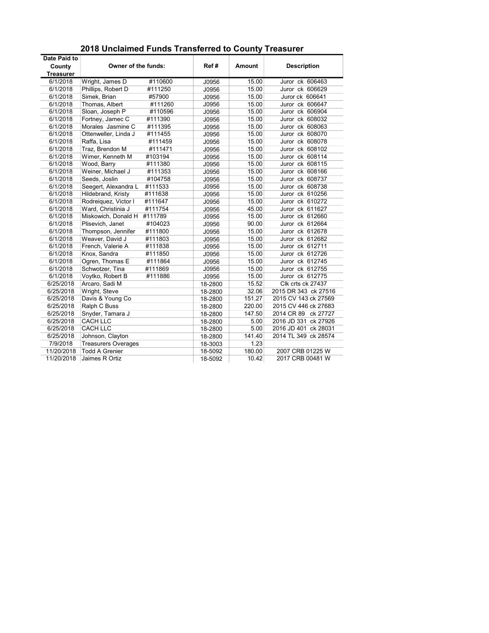| Date Paid to     |                             |         |         |        |                      |
|------------------|-----------------------------|---------|---------|--------|----------------------|
| County           | Owner of the funds:         |         | Ref#    | Amount | <b>Description</b>   |
| <b>Treasurer</b> |                             |         |         |        |                      |
| 6/1/2018         | Wright, James D             | #110600 | J0956   | 15.00  | Juror ck 606463      |
| 6/1/2018         | Phillips, Robert D          | #111250 | J0956   | 15.00  | Juror ck 606629      |
| 6/1/2018         | Simek. Brian                | #57900  | J0956   | 15.00  | Juror ck 606641      |
| 6/1/2018         | Thomas, Albert              | #111260 | J0956   | 15.00  | Juror ck 606647      |
| 6/1/2018         | Sloan, Joseph P             | #110596 | J0956   | 15.00  | Juror ck 606904      |
| 6/1/2018         | Fortney, Jamec C            | #111390 | J0956   | 15.00  | Juror ck 608032      |
| 6/1/2018         | Morales Jasmine C           | #111395 | J0956   | 15.00  | Juror ck 608063      |
| 6/1/2018         | Ottenweller, Linda J        | #111455 | J0956   | 15.00  | Juror ck 608070      |
| 6/1/2018         | Raffa, Lisa                 | #111459 | J0956   | 15.00  | Juror ck 608078      |
| 6/1/2018         | Traz, Brendon M             | #111471 | J0956   | 15.00  | Juror ck 608102      |
| 6/1/2018         | Wimer, Kenneth M            | #103194 | J0956   | 15.00  | Juror ck 608114      |
| 6/1/2018         | Wood, Barry                 | #111380 | J0956   | 15.00  | Juror ck 608115      |
| 6/1/2018         | Weiner, Michael J           | #111353 | J0956   | 15.00  | Juror ck 608166      |
| 6/1/2018         | Seeds, Joslin               | #104758 | J0956   | 15.00  | Juror ck 608737      |
| 6/1/2018         | Seegert, Alexandra L        | #111533 | J0956   | 15.00  | Juror ck 608738      |
| 6/1/2018         | Hildebrand, Kristy          | #111638 | J0956   | 15.00  | Juror ck 610256      |
| 6/1/2018         | Rodreiguez, Victor I        | #111647 | J0956   | 15.00  | Juror ck 610272      |
| 6/1/2018         | Ward, Christinia J          | #111754 | J0956   | 45.00  | Juror ck 611627      |
| 6/1/2018         | Miskowich, Donald H #111789 |         | J0956   | 15.00  | Juror ck 612660      |
| 6/1/2018         | Plisevich, Janet            | #104023 | J0956   | 90.00  | Juror ck 612664      |
| 6/1/2018         | Thompson, Jennifer          | #111800 | J0956   | 15.00  | Juror ck 612678      |
| 6/1/2018         | Weaver, David J             | #111803 | J0956   | 15.00  | Juror ck 612682      |
| 6/1/2018         | French, Valerie A           | #111838 | J0956   | 15.00  | Juror ck 612711      |
| 6/1/2018         | Knox. Sandra                | #111850 | J0956   | 15.00  | Juror ck 612726      |
| 6/1/2018         | Ogren, Thomas E             | #111864 | J0956   | 15.00  | Juror ck 612745      |
| 6/1/2018         | Schwotzer, Tina             | #111869 | J0956   | 15.00  | Juror ck 612755      |
| 6/1/2018         | Voytko, Robert B            | #111886 | J0956   | 15.00  | Juror ck 612775      |
| 6/25/2018        | Arcaro, Sadi M              |         | 18-2800 | 15.52  | Clk crts ck 27437    |
| 6/25/2018        | Wright, Steve               |         | 18-2800 | 32.06  | 2015 DR 343 ck 27516 |
| 6/25/2018        | Davis & Young Co            |         | 18-2800 | 151.27 | 2015 CV 143 ck 27569 |
| 6/25/2018        | Ralph C Buss                |         | 18-2800 | 220.00 | 2015 CV 446 ck 27683 |
| 6/25/2018        | Snyder, Tamara J            |         | 18-2800 | 147.50 | 2014 CR 89 ck 27727  |
| 6/25/2018        | <b>CACH LLC</b>             |         | 18-2800 | 5.00   | 2016 JD 331 ck 27926 |
| 6/25/2018        | <b>CACH LLC</b>             |         | 18-2800 | 5.00   | 2016 JD 401 ck 28031 |
| 6/25/2018        | Johnson, Clayton            |         | 18-2800 | 141.40 | 2014 TL 349 ck 28574 |
| 7/9/2018         | <b>Treasurers Overages</b>  |         | 18-3003 | 1.23   |                      |
| 11/20/2018       | <b>Todd A Grenier</b>       |         | 18-5092 | 180.00 | 2007 CRB 01225 W     |
| 11/20/2018       | Jaimes R Ortiz              |         | 18-5092 | 10.42  | 2017 CRB 00481 W     |